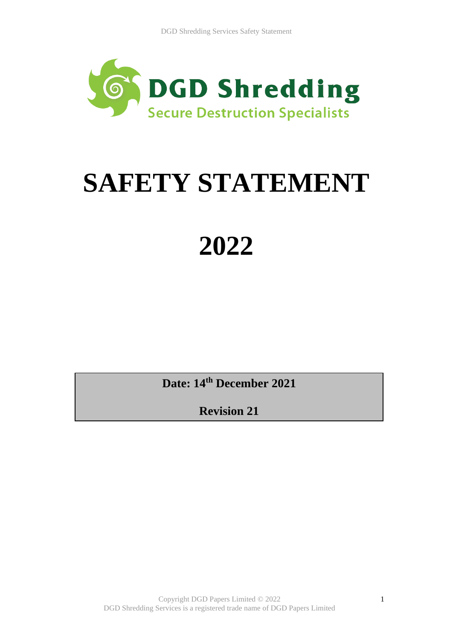

# **SAFETY STATEMENT**

# **2022**

**Date: 14th December 2021**

**Revision 21**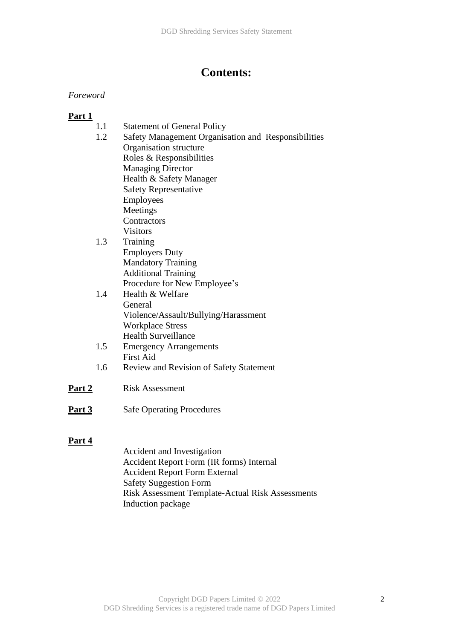# **Contents:**

## *Foreword*

## **Part 1**

|               | 1.1 | <b>Statement of General Policy</b>                  |
|---------------|-----|-----------------------------------------------------|
|               | 1.2 | Safety Management Organisation and Responsibilities |
|               |     | Organisation structure                              |
|               |     | Roles & Responsibilities                            |
|               |     | <b>Managing Director</b>                            |
|               |     | Health & Safety Manager                             |
|               |     | <b>Safety Representative</b>                        |
|               |     | <b>Employees</b>                                    |
|               |     | Meetings                                            |
|               |     | Contractors                                         |
|               |     | <b>Visitors</b>                                     |
|               | 1.3 | Training                                            |
|               |     | <b>Employers Duty</b>                               |
|               |     | <b>Mandatory Training</b>                           |
|               |     | <b>Additional Training</b>                          |
|               |     | Procedure for New Employee's                        |
|               | 1.4 | Health & Welfare                                    |
|               |     | General                                             |
|               |     | Violence/Assault/Bullying/Harassment                |
|               |     | <b>Workplace Stress</b>                             |
|               |     | <b>Health Surveillance</b>                          |
|               | 1.5 | <b>Emergency Arrangements</b>                       |
|               |     | <b>First Aid</b>                                    |
|               | 1.6 | Review and Revision of Safety Statement             |
| <u>Part 2</u> |     | <b>Risk Assessment</b>                              |
| Part 3        |     | <b>Safe Operating Procedures</b>                    |

#### **Part 4**

Accident and Investigation Accident Report Form (IR forms) Internal Accident Report Form External Safety Suggestion Form Risk Assessment Template-Actual Risk Assessments Induction package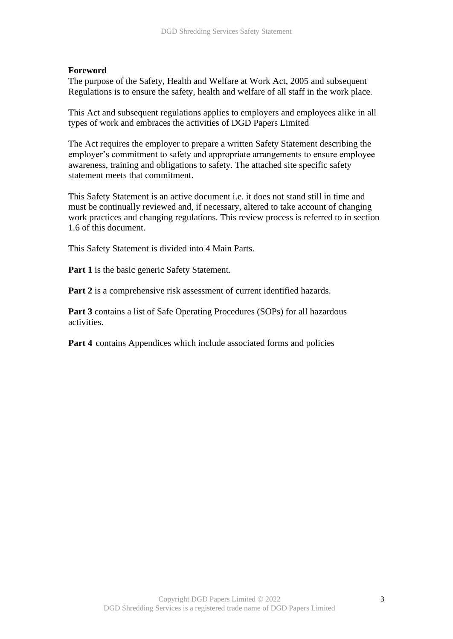#### **Foreword**

The purpose of the Safety, Health and Welfare at Work Act, 2005 and subsequent Regulations is to ensure the safety, health and welfare of all staff in the work place.

This Act and subsequent regulations applies to employers and employees alike in all types of work and embraces the activities of DGD Papers Limited

The Act requires the employer to prepare a written Safety Statement describing the employer's commitment to safety and appropriate arrangements to ensure employee awareness, training and obligations to safety. The attached site specific safety statement meets that commitment.

This Safety Statement is an active document i.e. it does not stand still in time and must be continually reviewed and, if necessary, altered to take account of changing work practices and changing regulations. This review process is referred to in section 1.6 of this document.

This Safety Statement is divided into 4 Main Parts.

Part 1 is the basic generic Safety Statement.

Part 2 is a comprehensive risk assessment of current identified hazards.

**Part 3** contains a list of Safe Operating Procedures (SOPs) for all hazardous activities.

**Part 4** contains Appendices which include associated forms and policies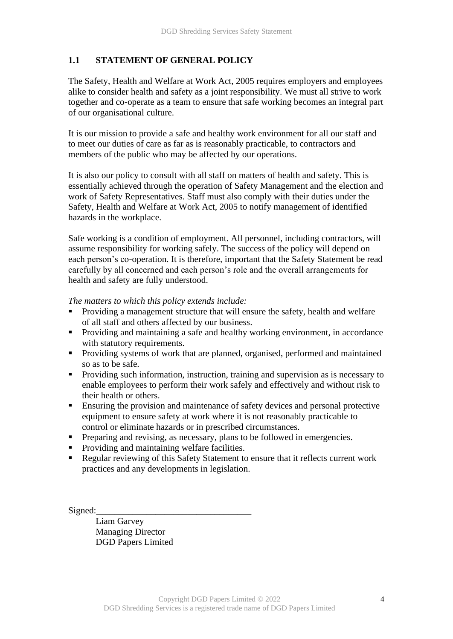## **1.1 STATEMENT OF GENERAL POLICY**

The Safety, Health and Welfare at Work Act, 2005 requires employers and employees alike to consider health and safety as a joint responsibility. We must all strive to work together and co-operate as a team to ensure that safe working becomes an integral part of our organisational culture.

It is our mission to provide a safe and healthy work environment for all our staff and to meet our duties of care as far as is reasonably practicable, to contractors and members of the public who may be affected by our operations.

It is also our policy to consult with all staff on matters of health and safety. This is essentially achieved through the operation of Safety Management and the election and work of Safety Representatives. Staff must also comply with their duties under the Safety, Health and Welfare at Work Act, 2005 to notify management of identified hazards in the workplace.

Safe working is a condition of employment. All personnel, including contractors, will assume responsibility for working safely. The success of the policy will depend on each person's co-operation. It is therefore, important that the Safety Statement be read carefully by all concerned and each person's role and the overall arrangements for health and safety are fully understood.

*The matters to which this policy extends include:*

- Providing a management structure that will ensure the safety, health and welfare of all staff and others affected by our business.
- Providing and maintaining a safe and healthy working environment, in accordance with statutory requirements.
- Providing systems of work that are planned, organised, performed and maintained so as to be safe.
- Providing such information, instruction, training and supervision as is necessary to enable employees to perform their work safely and effectively and without risk to their health or others.
- Ensuring the provision and maintenance of safety devices and personal protective equipment to ensure safety at work where it is not reasonably practicable to control or eliminate hazards or in prescribed circumstances.
- **•** Preparing and revising, as necessary, plans to be followed in emergencies.
- Providing and maintaining welfare facilities.
- Regular reviewing of this Safety Statement to ensure that it reflects current work practices and any developments in legislation.

Signed:

Liam Garvey Managing Director DGD Papers Limited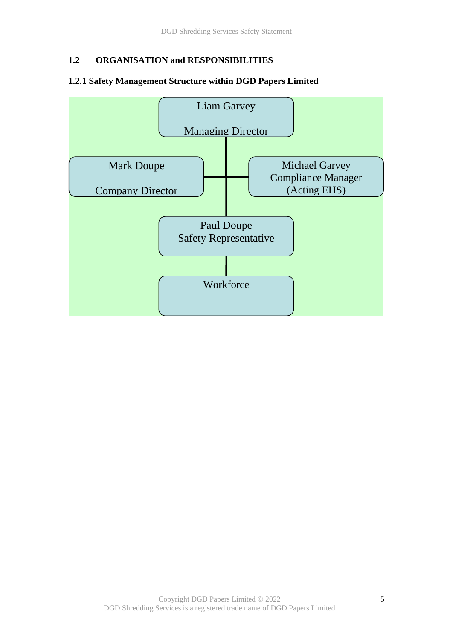## **1.2 ORGANISATION and RESPONSIBILITIES**

#### **1.2.1 Safety Management Structure within DGD Papers Limited**

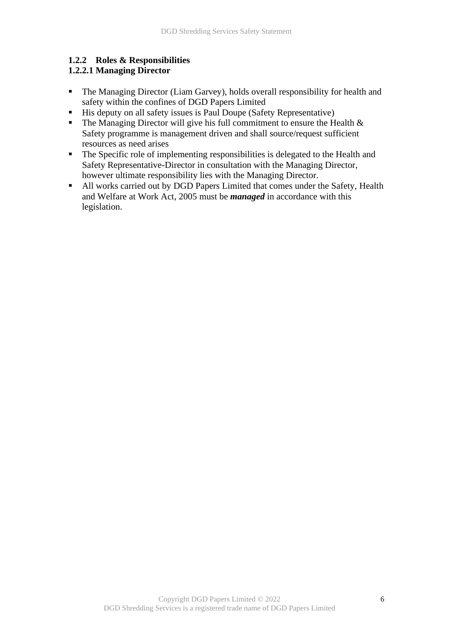## **1.2.2 Roles & Responsibilities**

## **1.2.2.1 Managing Director**

- The Managing Director (Liam Garvey), holds overall responsibility for health and safety within the confines of DGD Papers Limited
- His deputy on all safety issues is Paul Doupe (Safety Representative)
- **•** The Managing Director will give his full commitment to ensure the Health  $\&$ Safety programme is management driven and shall source/request sufficient resources as need arises
- The Specific role of implementing responsibilities is delegated to the Health and Safety Representative-Director in consultation with the Managing Director, however ultimate responsibility lies with the Managing Director.
- All works carried out by DGD Papers Limited that comes under the Safety, Health and Welfare at Work Act, 2005 must be *managed* in accordance with this legislation.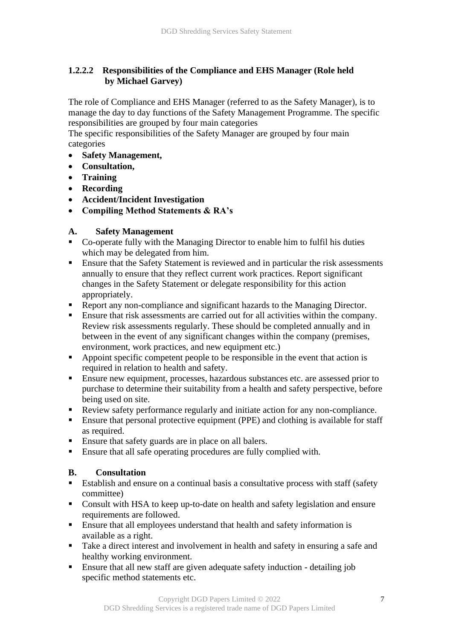## **1.2.2.2 Responsibilities of the Compliance and EHS Manager (Role held by Michael Garvey)**

The role of Compliance and EHS Manager (referred to as the Safety Manager), is to manage the day to day functions of the Safety Management Programme. The specific responsibilities are grouped by four main categories

The specific responsibilities of the Safety Manager are grouped by four main categories

- **Safety Management,**
- **Consultation,**
- **Training**
- **Recording**
- **Accident/Incident Investigation**
- **Compiling Method Statements & RA's**

## **A. Safety Management**

- Co-operate fully with the Managing Director to enable him to fulfil his duties which may be delegated from him.
- **Ensure that the Safety Statement is reviewed and in particular the risk assessments** annually to ensure that they reflect current work practices. Report significant changes in the Safety Statement or delegate responsibility for this action appropriately.
- Report any non-compliance and significant hazards to the Managing Director.
- **Ensure that risk assessments are carried out for all activities within the company.** Review risk assessments regularly. These should be completed annually and in between in the event of any significant changes within the company (premises, environment, work practices, and new equipment etc.)
- Appoint specific competent people to be responsible in the event that action is required in relation to health and safety.
- **Ensure new equipment, processes, hazardous substances etc. are assessed prior to** purchase to determine their suitability from a health and safety perspective, before being used on site.
- Review safety performance regularly and initiate action for any non-compliance.
- Ensure that personal protective equipment (PPE) and clothing is available for staff as required.
- Ensure that safety guards are in place on all balers.
- Ensure that all safe operating procedures are fully complied with.

## **B. Consultation**

- Establish and ensure on a continual basis a consultative process with staff (safety committee)
- Consult with HSA to keep up-to-date on health and safety legislation and ensure requirements are followed.
- Ensure that all employees understand that health and safety information is available as a right.
- Take a direct interest and involvement in health and safety in ensuring a safe and healthy working environment.
- **Ensure that all new staff are given adequate safety induction detailing job** specific method statements etc.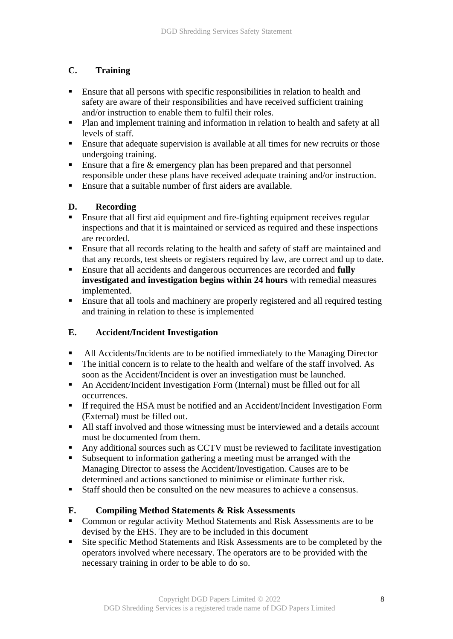## **C. Training**

- Ensure that all persons with specific responsibilities in relation to health and safety are aware of their responsibilities and have received sufficient training and/or instruction to enable them to fulfil their roles.
- Plan and implement training and information in relation to health and safety at all levels of staff.
- Ensure that adequate supervision is available at all times for new recruits or those undergoing training.
- **Ensure that a fire & emergency plan has been prepared and that personnel** responsible under these plans have received adequate training and/or instruction.
- Ensure that a suitable number of first aiders are available.

## **D. Recording**

- **Ensure that all first aid equipment and fire-fighting equipment receives regular** inspections and that it is maintained or serviced as required and these inspections are recorded.
- **Ensure that all records relating to the health and safety of staff are maintained and** that any records, test sheets or registers required by law, are correct and up to date.
- Ensure that all accidents and dangerous occurrences are recorded and **fully investigated and investigation begins within 24 hours** with remedial measures implemented.
- **Ensure that all tools and machinery are properly registered and all required testing** and training in relation to these is implemented

## **E. Accident/Incident Investigation**

- All Accidents/Incidents are to be notified immediately to the Managing Director
- The initial concern is to relate to the health and welfare of the staff involved. As soon as the Accident/Incident is over an investigation must be launched.
- An Accident/Incident Investigation Form (Internal) must be filled out for all occurrences.
- If required the HSA must be notified and an Accident/Incident Investigation Form (External) must be filled out.
- All staff involved and those witnessing must be interviewed and a details account must be documented from them.
- Any additional sources such as CCTV must be reviewed to facilitate investigation
- Subsequent to information gathering a meeting must be arranged with the Managing Director to assess the Accident/Investigation. Causes are to be determined and actions sanctioned to minimise or eliminate further risk.
- Staff should then be consulted on the new measures to achieve a consensus.

## **F. Compiling Method Statements & Risk Assessments**

- Common or regular activity Method Statements and Risk Assessments are to be devised by the EHS. They are to be included in this document
- Site specific Method Statements and Risk Assessments are to be completed by the operators involved where necessary. The operators are to be provided with the necessary training in order to be able to do so.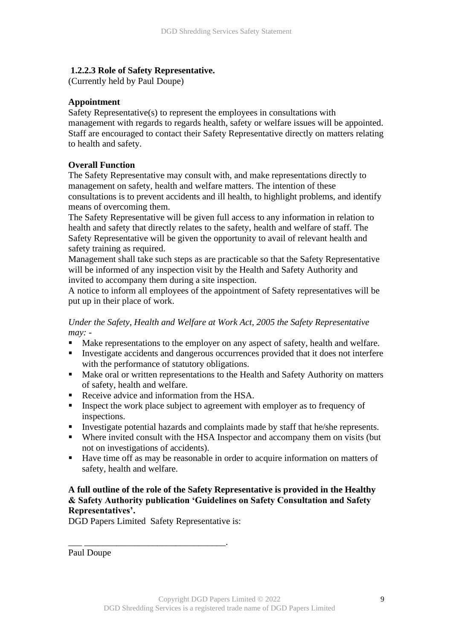#### **1.2.2.3 Role of Safety Representative.**

(Currently held by Paul Doupe)

#### **Appointment**

Safety Representative(s) to represent the employees in consultations with management with regards to regards health, safety or welfare issues will be appointed. Staff are encouraged to contact their Safety Representative directly on matters relating to health and safety.

#### **Overall Function**

The Safety Representative may consult with, and make representations directly to management on safety, health and welfare matters. The intention of these consultations is to prevent accidents and ill health, to highlight problems, and identify means of overcoming them.

The Safety Representative will be given full access to any information in relation to health and safety that directly relates to the safety, health and welfare of staff. The Safety Representative will be given the opportunity to avail of relevant health and safety training as required.

Management shall take such steps as are practicable so that the Safety Representative will be informed of any inspection visit by the Health and Safety Authority and invited to accompany them during a site inspection.

A notice to inform all employees of the appointment of Safety representatives will be put up in their place of work.

*Under the Safety, Health and Welfare at Work Act, 2005 the Safety Representative may: -*

- Make representations to the employer on any aspect of safety, health and welfare.
- Investigate accidents and dangerous occurrences provided that it does not interfere with the performance of statutory obligations.
- Make oral or written representations to the Health and Safety Authority on matters of safety, health and welfare.
- Receive advice and information from the HSA.
- **Exercise 1** Inspect the work place subject to agreement with employer as to frequency of inspections.
- **•** Investigate potential hazards and complaints made by staff that he/she represents.
- Where invited consult with the HSA Inspector and accompany them on visits (but not on investigations of accidents).
- Have time off as may be reasonable in order to acquire information on matters of safety, health and welfare.

## **A full outline of the role of the Safety Representative is provided in the Healthy & Safety Authority publication 'Guidelines on Safety Consultation and Safety Representatives'.**

DGD Papers Limited Safety Representative is:

\_\_\_ \_\_\_\_\_\_\_\_\_\_\_\_\_\_\_\_\_\_\_\_\_\_\_\_\_\_\_\_\_\_\_.

Paul Doupe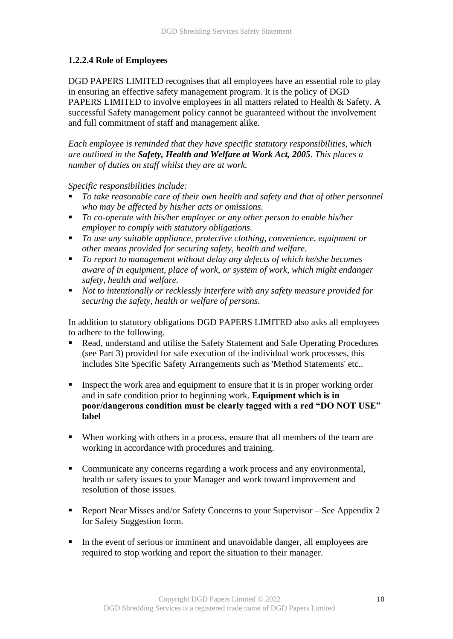## **1.2.2.4 Role of Employees**

DGD PAPERS LIMITED recognises that all employees have an essential role to play in ensuring an effective safety management program. It is the policy of DGD PAPERS LIMITED to involve employees in all matters related to Health & Safety. A successful Safety management policy cannot be guaranteed without the involvement and full commitment of staff and management alike.

*Each employee is reminded that they have specific statutory responsibilities, which are outlined in the Safety, Health and Welfare at Work Act, 2005. This places a number of duties on staff whilst they are at work.*

*Specific responsibilities include:*

- *To take reasonable care of their own health and safety and that of other personnel who may be affected by his/her acts or omissions.*
- *To co-operate with his/her employer or any other person to enable his/her employer to comply with statutory obligations.*
- *To use any suitable appliance, protective clothing, convenience, equipment or other means provided for securing safety, health and welfare.*
- *To report to management without delay any defects of which he/she becomes aware of in equipment, place of work, or system of work, which might endanger safety, health and welfare.*
- *Not to intentionally or recklessly interfere with any safety measure provided for securing the safety, health or welfare of persons.*

In addition to statutory obligations DGD PAPERS LIMITED also asks all employees to adhere to the following.

- Read, understand and utilise the Safety Statement and Safe Operating Procedures (see Part 3) provided for safe execution of the individual work processes, this includes Site Specific Safety Arrangements such as 'Method Statements' etc..
- Inspect the work area and equipment to ensure that it is in proper working order and in safe condition prior to beginning work. **Equipment which is in poor/dangerous condition must be clearly tagged with a red "DO NOT USE" label**
- When working with others in a process, ensure that all members of the team are working in accordance with procedures and training.
- Communicate any concerns regarding a work process and any environmental, health or safety issues to your Manager and work toward improvement and resolution of those issues.
- Report Near Misses and/or Safety Concerns to your Supervisor See Appendix 2 for Safety Suggestion form.
- In the event of serious or imminent and unavoidable danger, all employees are required to stop working and report the situation to their manager.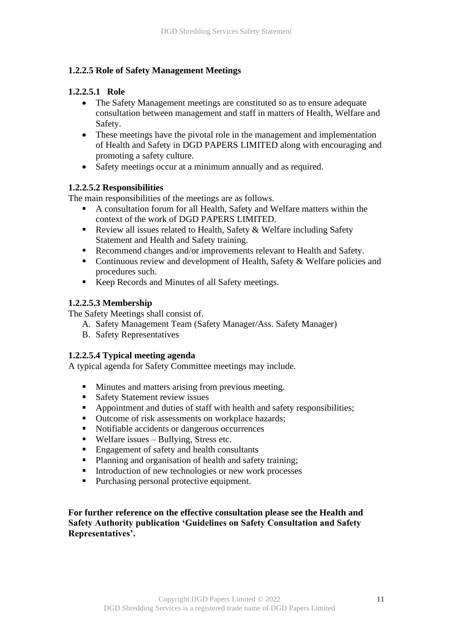## **1.2.2.5 Role of Safety Management Meetings**

## **1.2.2.5.1 Role**

- The Safety Management meetings are constituted so as to ensure adequate consultation between management and staff in matters of Health, Welfare and Safety.
- These meetings have the pivotal role in the management and implementation of Health and Safety in DGD PAPERS LIMITED along with encouraging and promoting a safety culture.
- Safety meetings occur at a minimum annually and as required.

## **1.2.2.5.2 Responsibilities**

The main responsibilities of the meetings are as follows.

- A consultation forum for all Health, Safety and Welfare matters within the context of the work of DGD PAPERS LIMITED.
- Review all issues related to Health, Safety & Welfare including Safety Statement and Health and Safety training.
- Recommend changes and/or improvements relevant to Health and Safety.
- Continuous review and development of Health, Safety & Welfare policies and procedures such.
- Keep Records and Minutes of all Safety meetings.

## **1.2.2.5.3 Membership**

The Safety Meetings shall consist of.

- A. Safety Management Team (Safety Manager/Ass. Safety Manager)
- B. Safety Representatives

## **1.2.2.5.4 Typical meeting agenda**

A typical agenda for Safety Committee meetings may include.

- Minutes and matters arising from previous meeting.
- Safety Statement review issues
- Appointment and duties of staff with health and safety responsibilities;
- Outcome of risk assessments on workplace hazards;
- Notifiable accidents or dangerous occurrences
- $\blacksquare$  Welfare issues Bullying, Stress etc.
- Engagement of safety and health consultants
- Planning and organisation of health and safety training;
- Introduction of new technologies or new work processes
- Purchasing personal protective equipment.

**For further reference on the effective consultation please see the Health and Safety Authority publication 'Guidelines on Safety Consultation and Safety Representatives'.**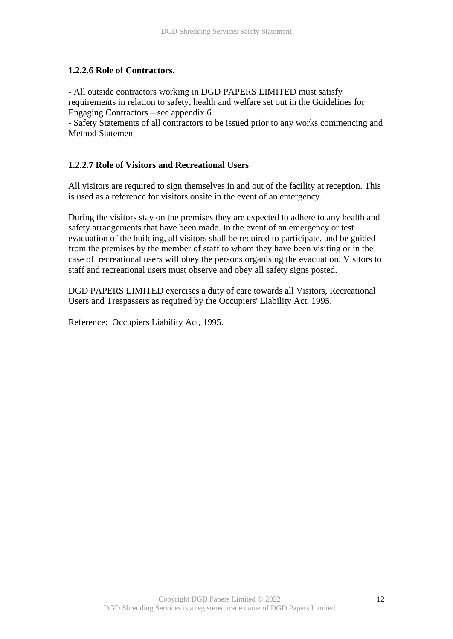#### **1.2.2.6 Role of Contractors.**

- All outside contractors working in DGD PAPERS LIMITED must satisfy requirements in relation to safety, health and welfare set out in the Guidelines for Engaging Contractors – see appendix 6

- Safety Statements of all contractors to be issued prior to any works commencing and Method Statement

#### **1.2.2.7 Role of Visitors and Recreational Users**

All visitors are required to sign themselves in and out of the facility at reception. This is used as a reference for visitors onsite in the event of an emergency.

During the visitors stay on the premises they are expected to adhere to any health and safety arrangements that have been made. In the event of an emergency or test evacuation of the building, all visitors shall be required to participate, and be guided from the premises by the member of staff to whom they have been visiting or in the case of recreational users will obey the persons organising the evacuation. Visitors to staff and recreational users must observe and obey all safety signs posted.

DGD PAPERS LIMITED exercises a duty of care towards all Visitors, Recreational Users and Trespassers as required by the Occupiers' Liability Act, 1995.

Reference: Occupiers Liability Act, 1995.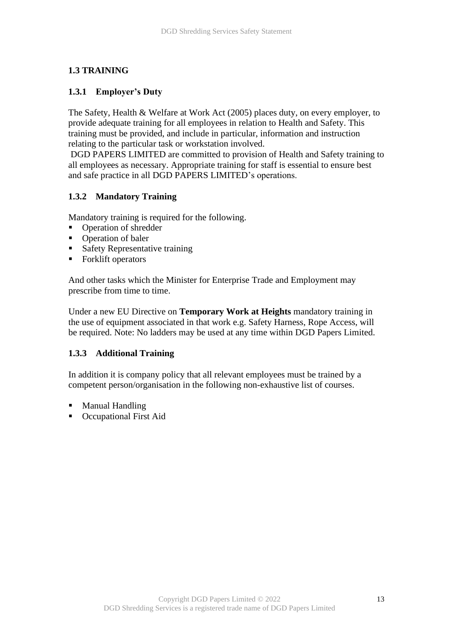## **1.3 TRAINING**

#### **1.3.1 Employer's Duty**

The Safety, Health & Welfare at Work Act (2005) places duty, on every employer, to provide adequate training for all employees in relation to Health and Safety. This training must be provided, and include in particular, information and instruction relating to the particular task or workstation involved.

DGD PAPERS LIMITED are committed to provision of Health and Safety training to all employees as necessary. Appropriate training for staff is essential to ensure best and safe practice in all DGD PAPERS LIMITED's operations.

#### **1.3.2 Mandatory Training**

Mandatory training is required for the following.

- Operation of shredder
- Operation of baler
- Safety Representative training
- Forklift operators

And other tasks which the Minister for Enterprise Trade and Employment may prescribe from time to time.

Under a new EU Directive on **Temporary Work at Heights** mandatory training in the use of equipment associated in that work e.g. Safety Harness, Rope Access, will be required. Note: No ladders may be used at any time within DGD Papers Limited.

#### **1.3.3 Additional Training**

In addition it is company policy that all relevant employees must be trained by a competent person/organisation in the following non-exhaustive list of courses.

- Manual Handling
- Occupational First Aid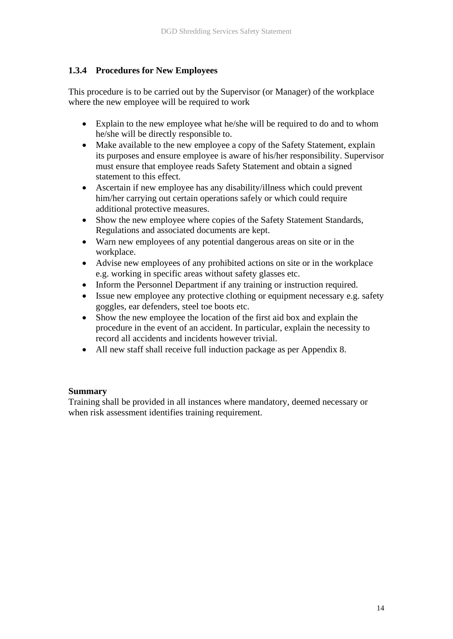## **1.3.4 Procedures for New Employees**

This procedure is to be carried out by the Supervisor (or Manager) of the workplace where the new employee will be required to work

- Explain to the new employee what he/she will be required to do and to whom he/she will be directly responsible to.
- Make available to the new employee a copy of the Safety Statement, explain its purposes and ensure employee is aware of his/her responsibility. Supervisor must ensure that employee reads Safety Statement and obtain a signed statement to this effect.
- Ascertain if new employee has any disability/illness which could prevent him/her carrying out certain operations safely or which could require additional protective measures.
- Show the new employee where copies of the Safety Statement Standards, Regulations and associated documents are kept.
- Warn new employees of any potential dangerous areas on site or in the workplace.
- Advise new employees of any prohibited actions on site or in the workplace e.g. working in specific areas without safety glasses etc.
- Inform the Personnel Department if any training or instruction required.
- Issue new employee any protective clothing or equipment necessary e.g. safety goggles, ear defenders, steel toe boots etc.
- Show the new employee the location of the first aid box and explain the procedure in the event of an accident. In particular, explain the necessity to record all accidents and incidents however trivial.
- All new staff shall receive full induction package as per Appendix 8.

#### **Summary**

Training shall be provided in all instances where mandatory, deemed necessary or when risk assessment identifies training requirement.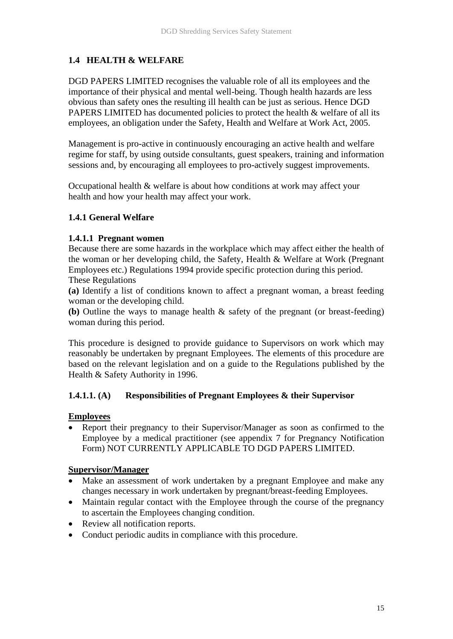## **1.4 HEALTH & WELFARE**

DGD PAPERS LIMITED recognises the valuable role of all its employees and the importance of their physical and mental well-being. Though health hazards are less obvious than safety ones the resulting ill health can be just as serious. Hence DGD PAPERS LIMITED has documented policies to protect the health & welfare of all its employees, an obligation under the Safety, Health and Welfare at Work Act, 2005.

Management is pro-active in continuously encouraging an active health and welfare regime for staff, by using outside consultants, guest speakers, training and information sessions and, by encouraging all employees to pro-actively suggest improvements.

Occupational health & welfare is about how conditions at work may affect your health and how your health may affect your work.

## **1.4.1 General Welfare**

## **1.4.1.1 Pregnant women**

Because there are some hazards in the workplace which may affect either the health of the woman or her developing child, the Safety, Health & Welfare at Work (Pregnant Employees etc.) Regulations 1994 provide specific protection during this period. These Regulations

**(a)** Identify a list of conditions known to affect a pregnant woman, a breast feeding woman or the developing child.

**(b)** Outline the ways to manage health & safety of the pregnant (or breast-feeding) woman during this period.

This procedure is designed to provide guidance to Supervisors on work which may reasonably be undertaken by pregnant Employees. The elements of this procedure are based on the relevant legislation and on a guide to the Regulations published by the Health & Safety Authority in 1996.

## **1.4.1.1. (A) Responsibilities of Pregnant Employees & their Supervisor**

## **Employees**

• Report their pregnancy to their Supervisor/Manager as soon as confirmed to the Employee by a medical practitioner (see appendix 7 for Pregnancy Notification Form) NOT CURRENTLY APPLICABLE TO DGD PAPERS LIMITED.

## **Supervisor/Manager**

- Make an assessment of work undertaken by a pregnant Employee and make any changes necessary in work undertaken by pregnant/breast-feeding Employees.
- Maintain regular contact with the Employee through the course of the pregnancy to ascertain the Employees changing condition.
- Review all notification reports.
- Conduct periodic audits in compliance with this procedure.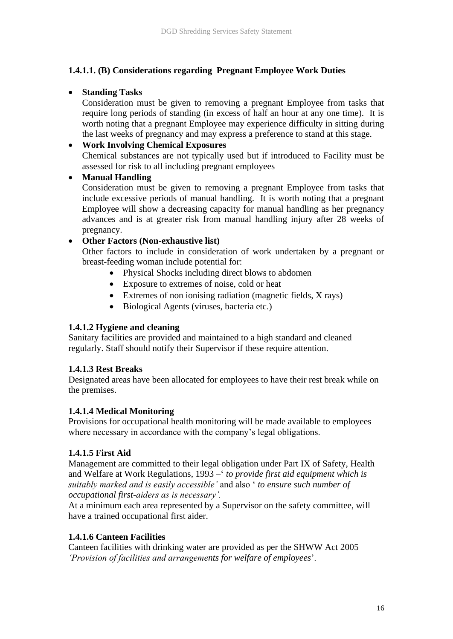## **1.4.1.1. (B) Considerations regarding Pregnant Employee Work Duties**

## • **Standing Tasks**

Consideration must be given to removing a pregnant Employee from tasks that require long periods of standing (in excess of half an hour at any one time). It is worth noting that a pregnant Employee may experience difficulty in sitting during the last weeks of pregnancy and may express a preference to stand at this stage.

## • **Work Involving Chemical Exposures**

Chemical substances are not typically used but if introduced to Facility must be assessed for risk to all including pregnant employees

## • **Manual Handling**

Consideration must be given to removing a pregnant Employee from tasks that include excessive periods of manual handling. It is worth noting that a pregnant Employee will show a decreasing capacity for manual handling as her pregnancy advances and is at greater risk from manual handling injury after 28 weeks of pregnancy.

## • **Other Factors (Non-exhaustive list)**

Other factors to include in consideration of work undertaken by a pregnant or breast-feeding woman include potential for:

- Physical Shocks including direct blows to abdomen
- Exposure to extremes of noise, cold or heat
- Extremes of non ionising radiation (magnetic fields, X rays)
- Biological Agents (viruses, bacteria etc.)

## **1.4.1.2 Hygiene and cleaning**

Sanitary facilities are provided and maintained to a high standard and cleaned regularly. Staff should notify their Supervisor if these require attention.

## **1.4.1.3 Rest Breaks**

Designated areas have been allocated for employees to have their rest break while on the premises.

## **1.4.1.4 Medical Monitoring**

Provisions for occupational health monitoring will be made available to employees where necessary in accordance with the company's legal obligations.

## **1.4.1.5 First Aid**

Management are committed to their legal obligation under Part IX of Safety, Health and Welfare at Work Regulations, 1993 –' *to provide first aid equipment which is suitably marked and is easily accessible'* and also ' *to ensure such number of occupational first-aiders as is necessary'.*

At a minimum each area represented by a Supervisor on the safety committee, will have a trained occupational first aider.

## **1.4.1.6 Canteen Facilities**

Canteen facilities with drinking water are provided as per the SHWW Act 2005 *'Provision of facilities and arrangements for welfare of employees*'.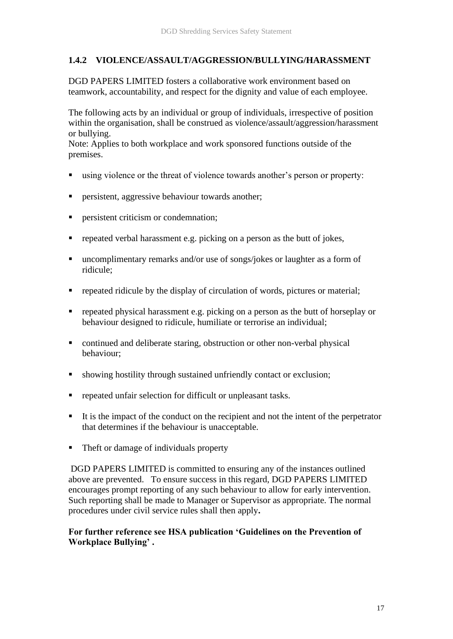## **1.4.2 VIOLENCE/ASSAULT/AGGRESSION/BULLYING/HARASSMENT**

DGD PAPERS LIMITED fosters a collaborative work environment based on teamwork, accountability, and respect for the dignity and value of each employee.

The following acts by an individual or group of individuals, irrespective of position within the organisation, shall be construed as violence/assault/aggression/harassment or bullying.

Note: Applies to both workplace and work sponsored functions outside of the premises.

- using violence or the threat of violence towards another's person or property:
- persistent, aggressive behaviour towards another;
- **•** persistent criticism or condemnation;
- **•** repeated verbal harassment e.g. picking on a person as the butt of jokes,
- uncomplimentary remarks and/or use of songs/jokes or laughter as a form of ridicule;
- **•** repeated ridicule by the display of circulation of words, pictures or material;
- **•** repeated physical harassment e.g. picking on a person as the butt of horseplay or behaviour designed to ridicule, humiliate or terrorise an individual;
- continued and deliberate staring, obstruction or other non-verbal physical behaviour;
- showing hostility through sustained unfriendly contact or exclusion;
- repeated unfair selection for difficult or unpleasant tasks.
- It is the impact of the conduct on the recipient and not the intent of the perpetrator that determines if the behaviour is unacceptable.
- Theft or damage of individuals property

DGD PAPERS LIMITED is committed to ensuring any of the instances outlined above are prevented. To ensure success in this regard, DGD PAPERS LIMITED encourages prompt reporting of any such behaviour to allow for early intervention. Such reporting shall be made to Manager or Supervisor as appropriate. The normal procedures under civil service rules shall then apply**.**

## **For further reference see HSA publication 'Guidelines on the Prevention of Workplace Bullying' .**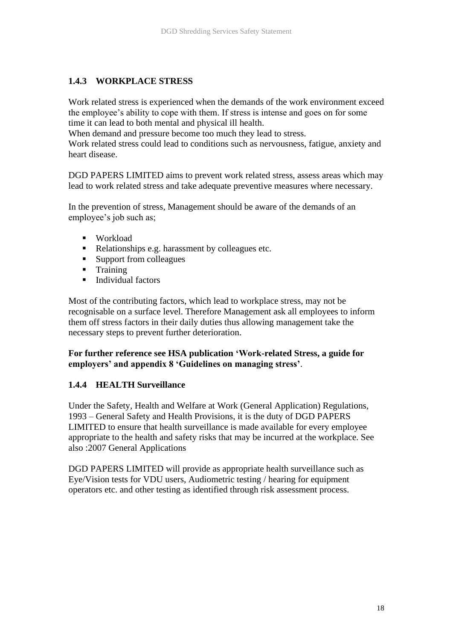## **1.4.3 WORKPLACE STRESS**

Work related stress is experienced when the demands of the work environment exceed the employee's ability to cope with them. If stress is intense and goes on for some time it can lead to both mental and physical ill health.

When demand and pressure become too much they lead to stress.

Work related stress could lead to conditions such as nervousness, fatigue, anxiety and heart disease.

DGD PAPERS LIMITED aims to prevent work related stress, assess areas which may lead to work related stress and take adequate preventive measures where necessary.

In the prevention of stress, Management should be aware of the demands of an employee's job such as;

- Workload
- Relationships e.g. harassment by colleagues etc.
- Support from colleagues
- Training
- Individual factors

Most of the contributing factors, which lead to workplace stress, may not be recognisable on a surface level. Therefore Management ask all employees to inform them off stress factors in their daily duties thus allowing management take the necessary steps to prevent further deterioration.

## **For further reference see HSA publication 'Work-related Stress, a guide for employers' and appendix 8 'Guidelines on managing stress'**.

#### **1.4.4 HEALTH Surveillance**

Under the Safety, Health and Welfare at Work (General Application) Regulations, 1993 – General Safety and Health Provisions, it is the duty of DGD PAPERS LIMITED to ensure that health surveillance is made available for every employee appropriate to the health and safety risks that may be incurred at the workplace. See also :2007 General Applications

DGD PAPERS LIMITED will provide as appropriate health surveillance such as Eye/Vision tests for VDU users, Audiometric testing / hearing for equipment operators etc. and other testing as identified through risk assessment process.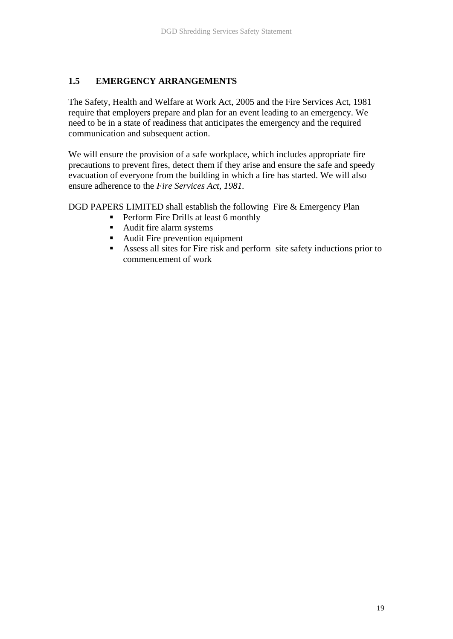## **1.5 EMERGENCY ARRANGEMENTS**

The Safety, Health and Welfare at Work Act, 2005 and the Fire Services Act, 1981 require that employers prepare and plan for an event leading to an emergency. We need to be in a state of readiness that anticipates the emergency and the required communication and subsequent action.

We will ensure the provision of a safe workplace, which includes appropriate fire precautions to prevent fires, detect them if they arise and ensure the safe and speedy evacuation of everyone from the building in which a fire has started. We will also ensure adherence to the *Fire Services Act, 1981.*

DGD PAPERS LIMITED shall establish the following Fire & Emergency Plan

- Perform Fire Drills at least 6 monthly
- Audit fire alarm systems
- Audit Fire prevention equipment
- Assess all sites for Fire risk and perform site safety inductions prior to commencement of work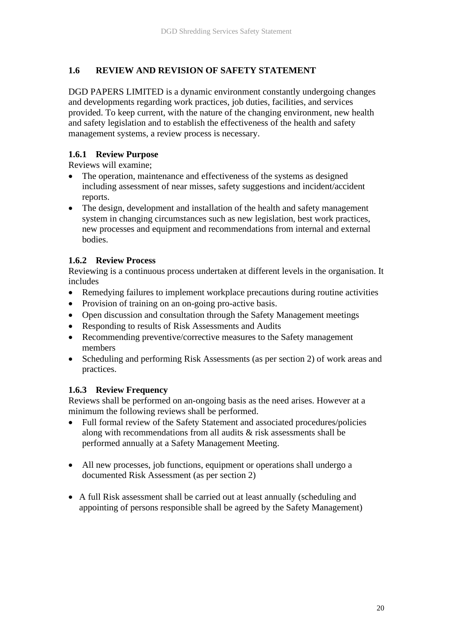## **1.6 REVIEW AND REVISION OF SAFETY STATEMENT**

DGD PAPERS LIMITED is a dynamic environment constantly undergoing changes and developments regarding work practices, job duties, facilities, and services provided. To keep current, with the nature of the changing environment, new health and safety legislation and to establish the effectiveness of the health and safety management systems, a review process is necessary.

## **1.6.1 Review Purpose**

Reviews will examine;

- The operation, maintenance and effectiveness of the systems as designed including assessment of near misses, safety suggestions and incident/accident reports.
- The design, development and installation of the health and safety management system in changing circumstances such as new legislation, best work practices, new processes and equipment and recommendations from internal and external bodies.

## **1.6.2 Review Process**

Reviewing is a continuous process undertaken at different levels in the organisation. It includes

- Remedying failures to implement workplace precautions during routine activities
- Provision of training on an on-going pro-active basis.
- Open discussion and consultation through the Safety Management meetings
- Responding to results of Risk Assessments and Audits
- Recommending preventive/corrective measures to the Safety management members
- Scheduling and performing Risk Assessments (as per section 2) of work areas and practices.

## **1.6.3 Review Frequency**

Reviews shall be performed on an-ongoing basis as the need arises. However at a minimum the following reviews shall be performed.

- Full formal review of the Safety Statement and associated procedures/policies along with recommendations from all audits & risk assessments shall be performed annually at a Safety Management Meeting.
- All new processes, job functions, equipment or operations shall undergo a documented Risk Assessment (as per section 2)
- A full Risk assessment shall be carried out at least annually (scheduling and appointing of persons responsible shall be agreed by the Safety Management)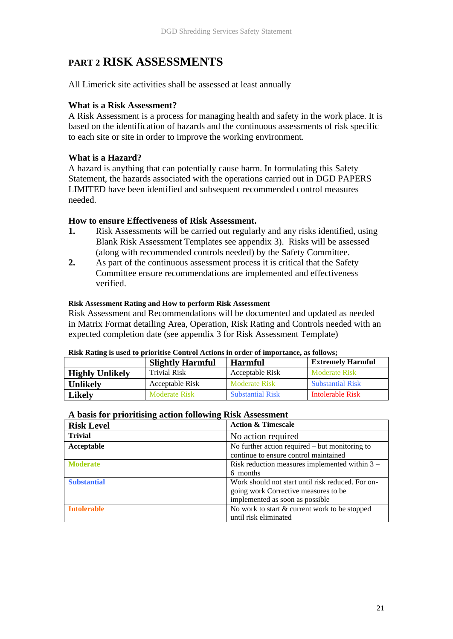# **PART 2 RISK ASSESSMENTS**

All Limerick site activities shall be assessed at least annually

## **What is a Risk Assessment?**

A Risk Assessment is a process for managing health and safety in the work place. It is based on the identification of hazards and the continuous assessments of risk specific to each site or site in order to improve the working environment.

## **What is a Hazard?**

A hazard is anything that can potentially cause harm. In formulating this Safety Statement, the hazards associated with the operations carried out in DGD PAPERS LIMITED have been identified and subsequent recommended control measures needed.

#### **How to ensure Effectiveness of Risk Assessment.**

- **1.** Risk Assessments will be carried out regularly and any risks identified, using Blank Risk Assessment Templates see appendix 3). Risks will be assessed (along with recommended controls needed) by the Safety Committee.
- **2.** As part of the continuous assessment process it is critical that the Safety Committee ensure recommendations are implemented and effectiveness verified.

#### **Risk Assessment Rating and How to perform Risk Assessment**

Risk Assessment and Recommendations will be documented and updated as needed in Matrix Format detailing Area, Operation, Risk Rating and Controls needed with an expected completion date (see appendix 3 for Risk Assessment Template)

|                        | <b>Slightly Harmful</b> | <b>Harmful</b>          | <b>Extremely Harmful</b> |
|------------------------|-------------------------|-------------------------|--------------------------|
| <b>Highly Unlikely</b> | <b>Trivial Risk</b>     | Acceptable Risk         | Moderate Risk            |
| <b>Unlikely</b>        | Acceptable Risk         | Moderate Risk           | <b>Substantial Risk</b>  |
| Likely                 | Moderate Risk           | <b>Substantial Risk</b> | Intolerable Risk         |

#### **Risk Rating is used to prioritise Control Actions in order of importance, as follows;**

#### **A basis for prioritising action following Risk Assessment**

| <b>Risk Level</b>  | <b>Action &amp; Timescale</b>                     |  |
|--------------------|---------------------------------------------------|--|
| <b>Trivial</b>     | No action required                                |  |
| Acceptable         | No further action required $-$ but monitoring to  |  |
|                    | continue to ensure control maintained             |  |
| <b>Moderate</b>    | Risk reduction measures implemented within $3 -$  |  |
|                    | 6 months                                          |  |
| <b>Substantial</b> | Work should not start until risk reduced. For on- |  |
|                    | going work Corrective measures to be              |  |
|                    | implemented as soon as possible                   |  |
| <b>Intolerable</b> | No work to start & current work to be stopped     |  |
|                    | until risk eliminated                             |  |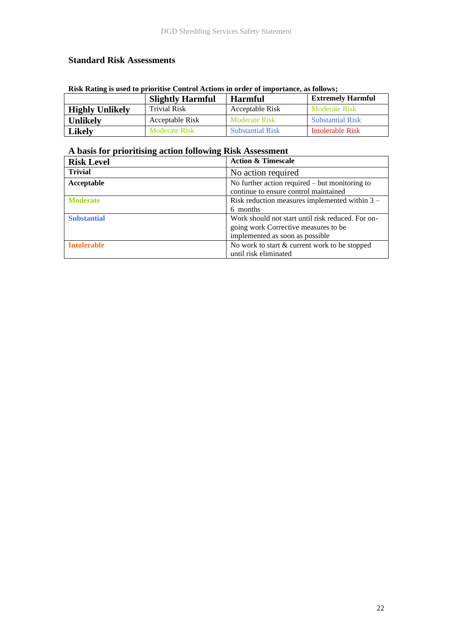## **Standard Risk Assessments**

| Risk Rating is used to prioritise Control Actions in order of importance, as follows; |                      |                         |                         |  |  |  |
|---------------------------------------------------------------------------------------|----------------------|-------------------------|-------------------------|--|--|--|
| <b>Extremely Harmful</b><br><b>Slightly Harmful</b><br>Harmful                        |                      |                         |                         |  |  |  |
| <b>Highly Unlikely</b>                                                                | <b>Trivial Risk</b>  | Acceptable Risk         | Moderate Risk           |  |  |  |
| <b>Unlikely</b>                                                                       | Acceptable Risk      | <b>Moderate Risk</b>    | <b>Substantial Risk</b> |  |  |  |
| <b>Likely</b>                                                                         | <b>Moderate Risk</b> | <b>Substantial Risk</b> | Intolerable Risk        |  |  |  |

#### **Risk Rating is used to prioritise Control Actions in order of importance, as follows;**

# **A basis for prioritising action following Risk Assessment**

| <b>Risk Level</b>  | <b>Action &amp; Timescale</b>                     |
|--------------------|---------------------------------------------------|
| <b>Trivial</b>     | No action required                                |
| Acceptable         | No further action required $-$ but monitoring to  |
|                    | continue to ensure control maintained             |
| <b>Moderate</b>    | Risk reduction measures implemented within $3 -$  |
|                    | 6 months                                          |
| <b>Substantial</b> | Work should not start until risk reduced. For on- |
|                    | going work Corrective measures to be              |
|                    | implemented as soon as possible                   |
| <b>Intolerable</b> | No work to start & current work to be stopped     |
|                    | until risk eliminated                             |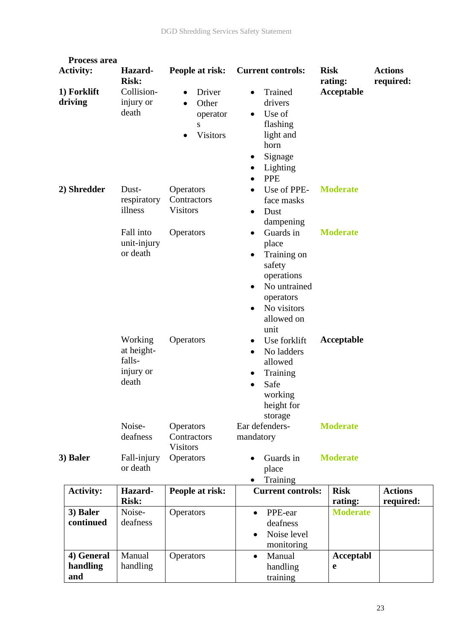| <b>Process area</b>           |                                                       |                                                                               |                                                                                                                                                                    |                        |                             |
|-------------------------------|-------------------------------------------------------|-------------------------------------------------------------------------------|--------------------------------------------------------------------------------------------------------------------------------------------------------------------|------------------------|-----------------------------|
| <b>Activity:</b>              | Hazard-<br><b>Risk:</b>                               | People at risk:                                                               | <b>Current controls:</b>                                                                                                                                           | <b>Risk</b><br>rating: | <b>Actions</b><br>required: |
| 1) Forklift<br>driving        | Collision-<br>injury or<br>death                      | Driver<br>$\bullet$<br>Other<br>$\bullet$<br>operator<br>S<br><b>Visitors</b> | Trained<br>٠<br>drivers<br>Use of<br>$\bullet$<br>flashing<br>light and<br>horn<br>Signage<br>Lighting<br>$\bullet$<br><b>PPE</b><br>$\bullet$                     | Acceptable             |                             |
| 2) Shredder                   | Dust-<br>respiratory<br>illness                       | Operators<br>Contractors<br><b>Visitors</b>                                   | Use of PPE-<br>face masks<br>Dust<br>$\bullet$<br>dampening                                                                                                        | <b>Moderate</b>        |                             |
|                               | Fall into<br>unit-injury<br>or death                  | Operators                                                                     | Guards in<br>$\bullet$<br>place<br>Training on<br>safety<br>operations<br>No untrained<br>$\bullet$<br>operators<br>No visitors<br>$\bullet$<br>allowed on<br>unit | <b>Moderate</b>        |                             |
|                               | Working<br>at height-<br>falls-<br>injury or<br>death | Operators                                                                     | Use forklift<br>No ladders<br>$\bullet$<br>allowed<br>Training<br>Safe<br>working<br>height for<br>storage                                                         | Acceptable             |                             |
|                               | Noise-<br>deafness                                    | Operators<br>Contractors<br><b>Visitors</b>                                   | Ear defenders-<br>mandatory                                                                                                                                        | <b>Moderate</b>        |                             |
| 3) Baler                      | Fall-injury<br>or death                               | <b>Operators</b>                                                              | Guards in<br>place<br>Training                                                                                                                                     | <b>Moderate</b>        |                             |
| <b>Activity:</b>              | Hazard-<br><b>Risk:</b>                               | People at risk:                                                               | <b>Current controls:</b>                                                                                                                                           | <b>Risk</b><br>rating: | <b>Actions</b><br>required: |
| 3) Baler<br>continued         | Noise-<br>deafness                                    | Operators                                                                     | PPE-ear<br>$\bullet$<br>deafness<br>Noise level<br>$\bullet$<br>monitoring                                                                                         | <b>Moderate</b>        |                             |
| 4) General<br>handling<br>and | Manual<br>handling                                    | Operators                                                                     | Manual<br>$\bullet$<br>handling<br>training                                                                                                                        | Acceptabl<br>e         |                             |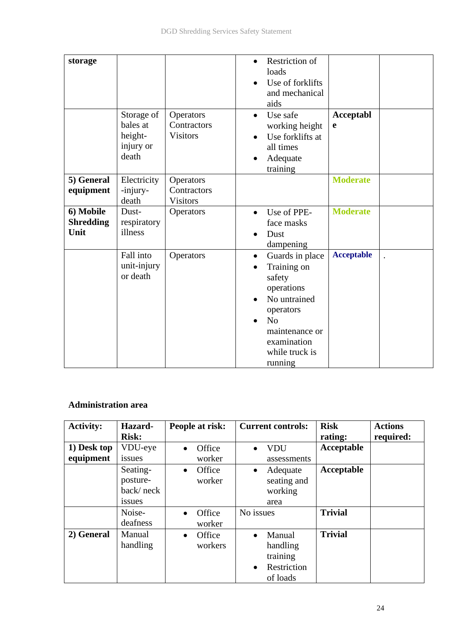| storage<br>5) General                 | Storage of<br>bales at<br>height-<br>injury or<br>death<br>Electricity | Operators<br>Contractors<br><b>Visitors</b> | <b>Restriction of</b><br>$\bullet$<br>loads<br>Use of forklifts<br>and mechanical<br>aids<br>Use safe<br>$\bullet$<br>working height<br>Use forklifts at<br>all times<br>Adequate<br>training | <b>Acceptabl</b><br>e<br><b>Moderate</b> |  |
|---------------------------------------|------------------------------------------------------------------------|---------------------------------------------|-----------------------------------------------------------------------------------------------------------------------------------------------------------------------------------------------|------------------------------------------|--|
| equipment                             | -injury-<br>death                                                      | Operators<br>Contractors<br><b>Visitors</b> |                                                                                                                                                                                               |                                          |  |
| 6) Mobile<br><b>Shredding</b><br>Unit | Dust-<br>respiratory<br>illness                                        | Operators                                   | Use of PPE-<br>$\bullet$<br>face masks<br>Dust<br>dampening                                                                                                                                   | <b>Moderate</b>                          |  |
|                                       | Fall into<br>unit-injury<br>or death                                   | Operators                                   | Guards in place<br>$\bullet$<br>Training on<br>safety<br>operations<br>No untrained<br>operators<br>No<br>$\bullet$<br>maintenance or<br>examination<br>while truck is<br>running             | <b>Acceptable</b>                        |  |

## **Administration area**

| <b>Activity:</b> | Hazard-       | People at risk:     | <b>Current controls:</b> | <b>Risk</b>    | <b>Actions</b> |
|------------------|---------------|---------------------|--------------------------|----------------|----------------|
|                  | <b>Risk:</b>  |                     |                          | rating:        | required:      |
| 1) Desk top      | VDU-eye       | Office<br>$\bullet$ | <b>VDU</b>               | Acceptable     |                |
| equipment        | issues        | worker              | assessments              |                |                |
|                  | Seating-      | Office<br>$\bullet$ | Adequate<br>$\bullet$    | Acceptable     |                |
|                  | posture-      | worker              | seating and              |                |                |
|                  | back/neck     |                     | working                  |                |                |
|                  | <i>issues</i> |                     | area                     |                |                |
|                  | Noise-        | Office<br>$\bullet$ | No issues                | <b>Trivial</b> |                |
|                  | deafness      | worker              |                          |                |                |
| 2) General       | Manual        | Office<br>$\bullet$ | Manual                   | <b>Trivial</b> |                |
|                  | handling      | workers             | handling                 |                |                |
|                  |               |                     | training                 |                |                |
|                  |               |                     | Restriction<br>$\bullet$ |                |                |
|                  |               |                     | of loads                 |                |                |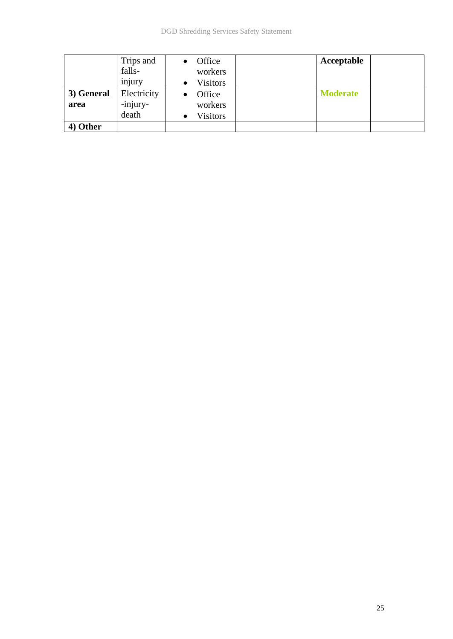|            | Trips and   | Office          | Acceptable      |  |
|------------|-------------|-----------------|-----------------|--|
|            | falls-      | workers         |                 |  |
|            | injury      | <b>Visitors</b> |                 |  |
| 3) General | Electricity | Office          | <b>Moderate</b> |  |
| area       | -injury-    | workers         |                 |  |
|            | death       | <b>Visitors</b> |                 |  |
| 4) Other   |             |                 |                 |  |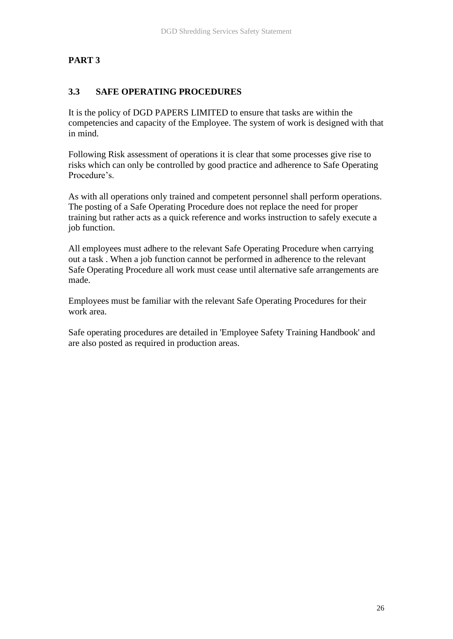## **PART 3**

## **3.3 SAFE OPERATING PROCEDURES**

It is the policy of DGD PAPERS LIMITED to ensure that tasks are within the competencies and capacity of the Employee. The system of work is designed with that in mind.

Following Risk assessment of operations it is clear that some processes give rise to risks which can only be controlled by good practice and adherence to Safe Operating Procedure's.

As with all operations only trained and competent personnel shall perform operations. The posting of a Safe Operating Procedure does not replace the need for proper training but rather acts as a quick reference and works instruction to safely execute a job function.

All employees must adhere to the relevant Safe Operating Procedure when carrying out a task . When a job function cannot be performed in adherence to the relevant Safe Operating Procedure all work must cease until alternative safe arrangements are made.

Employees must be familiar with the relevant Safe Operating Procedures for their work area.

Safe operating procedures are detailed in 'Employee Safety Training Handbook' and are also posted as required in production areas.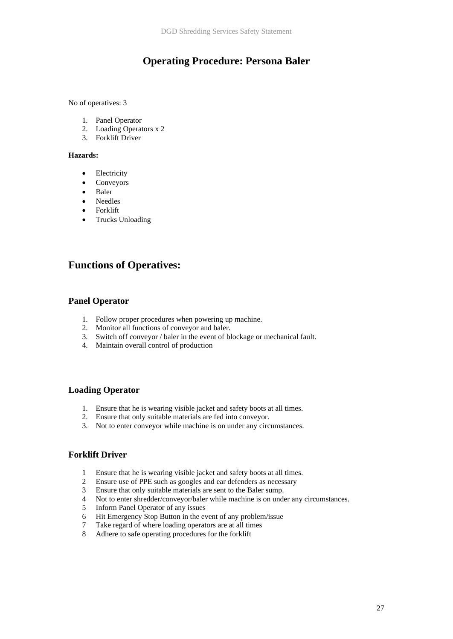## **Operating Procedure: Persona Baler**

No of operatives: 3

- 1. Panel Operator
- 2. Loading Operators x 2
- 3. Forklift Driver

#### **Hazards:**

- Electricity
- Conveyors
- Baler
- Needles
- Forklift
- Trucks Unloading

## **Functions of Operatives:**

#### **Panel Operator**

- 1. Follow proper procedures when powering up machine.
- 2. Monitor all functions of conveyor and baler.
- 3. Switch off conveyor / baler in the event of blockage or mechanical fault.
- 4. Maintain overall control of production

#### **Loading Operator**

- 1. Ensure that he is wearing visible jacket and safety boots at all times.
- 2. Ensure that only suitable materials are fed into conveyor.
- 3. Not to enter conveyor while machine is on under any circumstances.

## **Forklift Driver**

- 1 Ensure that he is wearing visible jacket and safety boots at all times.
- 2 Ensure use of PPE such as googles and ear defenders as necessary
- 3 Ensure that only suitable materials are sent to the Baler sump.
- 4 Not to enter shredder/conveyor/baler while machine is on under any circumstances.
- 5 Inform Panel Operator of any issues
- 6 Hit Emergency Stop Button in the event of any problem/issue
- 7 Take regard of where loading operators are at all times
- 8 Adhere to safe operating procedures for the forklift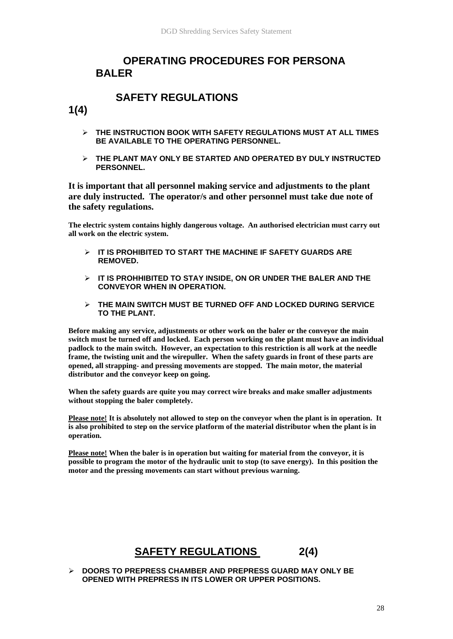## **OPERATING PROCEDURES FOR PERSONA BALER**

# **SAFETY REGULATIONS**

**1(4)**

- ➢ **THE INSTRUCTION BOOK WITH SAFETY REGULATIONS MUST AT ALL TIMES BE AVAILABLE TO THE OPERATING PERSONNEL.**
- ➢ **THE PLANT MAY ONLY BE STARTED AND OPERATED BY DULY INSTRUCTED PERSONNEL.**

**It is important that all personnel making service and adjustments to the plant are duly instructed. The operator/s and other personnel must take due note of the safety regulations.** 

**The electric system contains highly dangerous voltage. An authorised electrician must carry out all work on the electric system.** 

- ➢ **IT IS PROHIBITED TO START THE MACHINE IF SAFETY GUARDS ARE REMOVED.**
- ➢ **IT IS PROHHIBITED TO STAY INSIDE, ON OR UNDER THE BALER AND THE CONVEYOR WHEN IN OPERATION.**
- ➢ **THE MAIN SWITCH MUST BE TURNED OFF AND LOCKED DURING SERVICE TO THE PLANT.**

**Before making any service, adjustments or other work on the baler or the conveyor the main switch must be turned off and locked. Each person working on the plant must have an individual padlock to the main switch. However, an expectation to this restriction is all work at the needle frame, the twisting unit and the wirepuller. When the safety guards in front of these parts are opened, all strapping- and pressing movements are stopped. The main motor, the material distributor and the conveyor keep on going.** 

**When the safety guards are quite you may correct wire breaks and make smaller adjustments without stopping the baler completely.** 

**Please note! It is absolutely not allowed to step on the conveyor when the plant is in operation. It is also prohibited to step on the service platform of the material distributor when the plant is in operation.** 

**Please note! When the baler is in operation but waiting for material from the conveyor, it is possible to program the motor of the hydraulic unit to stop (to save energy). In this position the motor and the pressing movements can start without previous warning.** 

# **SAFETY REGULATIONS 2(4)**

➢ **DOORS TO PREPRESS CHAMBER AND PREPRESS GUARD MAY ONLY BE OPENED WITH PREPRESS IN ITS LOWER OR UPPER POSITIONS.**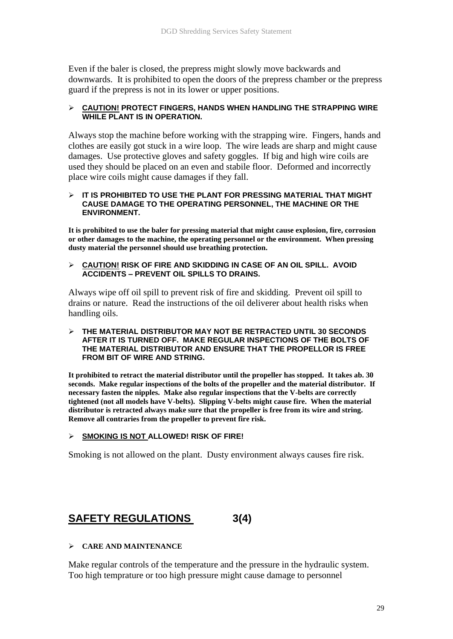Even if the baler is closed, the prepress might slowly move backwards and downwards. It is prohibited to open the doors of the prepress chamber or the prepress guard if the prepress is not in its lower or upper positions.

#### ➢ **CAUTION! PROTECT FINGERS, HANDS WHEN HANDLING THE STRAPPING WIRE WHILE PLANT IS IN OPERATION.**

Always stop the machine before working with the strapping wire. Fingers, hands and clothes are easily got stuck in a wire loop. The wire leads are sharp and might cause damages. Use protective gloves and safety goggles. If big and high wire coils are used they should be placed on an even and stabile floor. Deformed and incorrectly place wire coils might cause damages if they fall.

#### ➢ **IT IS PROHIBITED TO USE THE PLANT FOR PRESSING MATERIAL THAT MIGHT CAUSE DAMAGE TO THE OPERATING PERSONNEL, THE MACHINE OR THE ENVIRONMENT.**

**It is prohibited to use the baler for pressing material that might cause explosion, fire, corrosion or other damages to the machine, the operating personnel or the environment. When pressing dusty material the personnel should use breathing protection.** 

#### ➢ **CAUTION! RISK OF FIRE AND SKIDDING IN CASE OF AN OIL SPILL. AVOID ACCIDENTS – PREVENT OIL SPILLS TO DRAINS.**

Always wipe off oil spill to prevent risk of fire and skidding. Prevent oil spill to drains or nature. Read the instructions of the oil deliverer about health risks when handling oils.

#### ➢ **THE MATERIAL DISTRIBUTOR MAY NOT BE RETRACTED UNTIL 30 SECONDS AFTER IT IS TURNED OFF. MAKE REGULAR INSPECTIONS OF THE BOLTS OF THE MATERIAL DISTRIBUTOR AND ENSURE THAT THE PROPELLOR IS FREE FROM BIT OF WIRE AND STRING.**

**It prohibited to retract the material distributor until the propeller has stopped. It takes ab. 30 seconds. Make regular inspections of the bolts of the propeller and the material distributor. If necessary fasten the nipples. Make also regular inspections that the V-belts are correctly tightened (not all models have V-belts). Slipping V-belts might cause fire. When the material distributor is retracted always make sure that the propeller is free from its wire and string. Remove all contraries from the propeller to prevent fire risk.** 

#### ➢ **SMOKING IS NOT ALLOWED! RISK OF FIRE!**

Smoking is not allowed on the plant. Dusty environment always causes fire risk.

# **SAFETY REGULATIONS 3(4)**

#### ➢ **CARE AND MAINTENANCE**

Make regular controls of the temperature and the pressure in the hydraulic system. Too high temprature or too high pressure might cause damage to personnel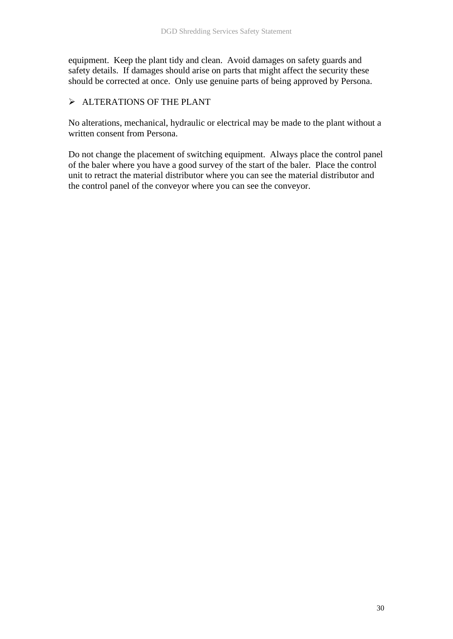equipment. Keep the plant tidy and clean. Avoid damages on safety guards and safety details. If damages should arise on parts that might affect the security these should be corrected at once. Only use genuine parts of being approved by Persona.

## ➢ ALTERATIONS OF THE PLANT

No alterations, mechanical, hydraulic or electrical may be made to the plant without a written consent from Persona.

Do not change the placement of switching equipment. Always place the control panel of the baler where you have a good survey of the start of the baler. Place the control unit to retract the material distributor where you can see the material distributor and the control panel of the conveyor where you can see the conveyor.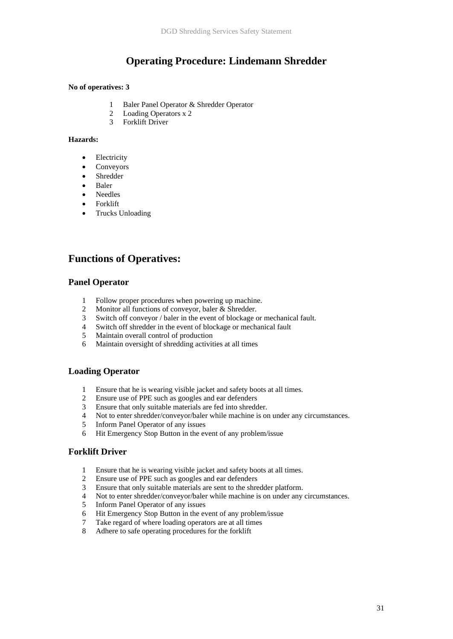## **Operating Procedure: Lindemann Shredder**

#### **No of operatives: 3**

- 1 Baler Panel Operator & Shredder Operator
- 2 Loading Operators x 2
- 3 Forklift Driver

#### **Hazards:**

- **Electricity**
- Conveyors
- **Shredder**
- Baler
- Needles
- Forklift
- Trucks Unloading

## **Functions of Operatives:**

#### **Panel Operator**

- 1 Follow proper procedures when powering up machine.
- 2 Monitor all functions of conveyor, baler & Shredder.
- 3 Switch off conveyor / baler in the event of blockage or mechanical fault.
- 4 Switch off shredder in the event of blockage or mechanical fault
- 5 Maintain overall control of production
- 6 Maintain oversight of shredding activities at all times

#### **Loading Operator**

- 1 Ensure that he is wearing visible jacket and safety boots at all times.
- 2 Ensure use of PPE such as googles and ear defenders
- 3 Ensure that only suitable materials are fed into shredder.
- 4 Not to enter shredder/conveyor/baler while machine is on under any circumstances.
- 5 Inform Panel Operator of any issues
- 6 Hit Emergency Stop Button in the event of any problem/issue

#### **Forklift Driver**

- 1 Ensure that he is wearing visible jacket and safety boots at all times.
- 2 Ensure use of PPE such as googles and ear defenders
- 3 Ensure that only suitable materials are sent to the shredder platform.
- 4 Not to enter shredder/conveyor/baler while machine is on under any circumstances.
- 5 Inform Panel Operator of any issues
- 6 Hit Emergency Stop Button in the event of any problem/issue
- 7 Take regard of where loading operators are at all times
- 8 Adhere to safe operating procedures for the forklift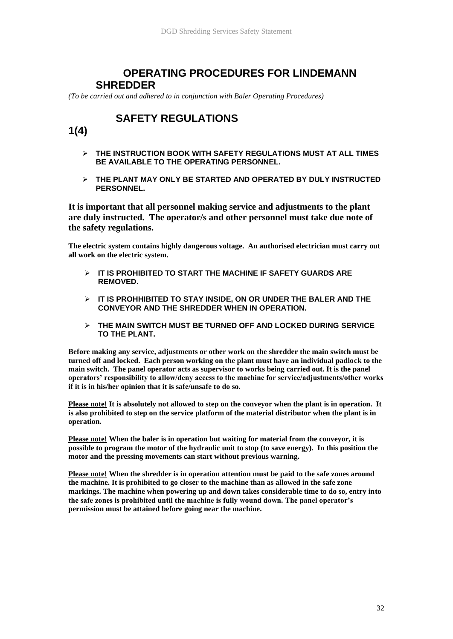## **OPERATING PROCEDURES FOR LINDEMANN SHREDDER**

*(To be carried out and adhered to in conjunction with Baler Operating Procedures)*

# **SAFETY REGULATIONS**

## **1(4)**

- ➢ **THE INSTRUCTION BOOK WITH SAFETY REGULATIONS MUST AT ALL TIMES BE AVAILABLE TO THE OPERATING PERSONNEL.**
- ➢ **THE PLANT MAY ONLY BE STARTED AND OPERATED BY DULY INSTRUCTED PERSONNEL.**

**It is important that all personnel making service and adjustments to the plant are duly instructed. The operator/s and other personnel must take due note of the safety regulations.** 

**The electric system contains highly dangerous voltage. An authorised electrician must carry out all work on the electric system.** 

- ➢ **IT IS PROHIBITED TO START THE MACHINE IF SAFETY GUARDS ARE REMOVED.**
- ➢ **IT IS PROHHIBITED TO STAY INSIDE, ON OR UNDER THE BALER AND THE CONVEYOR AND THE SHREDDER WHEN IN OPERATION.**
- ➢ **THE MAIN SWITCH MUST BE TURNED OFF AND LOCKED DURING SERVICE TO THE PLANT.**

**Before making any service, adjustments or other work on the shredder the main switch must be turned off and locked. Each person working on the plant must have an individual padlock to the main switch. The panel operator acts as supervisor to works being carried out. It is the panel operators' responsibility to allow/deny access to the machine for service/adjustments/other works if it is in his/her opinion that it is safe/unsafe to do so.**

**Please note! It is absolutely not allowed to step on the conveyor when the plant is in operation. It is also prohibited to step on the service platform of the material distributor when the plant is in operation.** 

**Please note! When the baler is in operation but waiting for material from the conveyor, it is possible to program the motor of the hydraulic unit to stop (to save energy). In this position the motor and the pressing movements can start without previous warning.** 

**Please note! When the shredder is in operation attention must be paid to the safe zones around the machine. It is prohibited to go closer to the machine than as allowed in the safe zone markings. The machine when powering up and down takes considerable time to do so, entry into the safe zones is prohibited until the machine is fully wound down. The panel operator's permission must be attained before going near the machine.**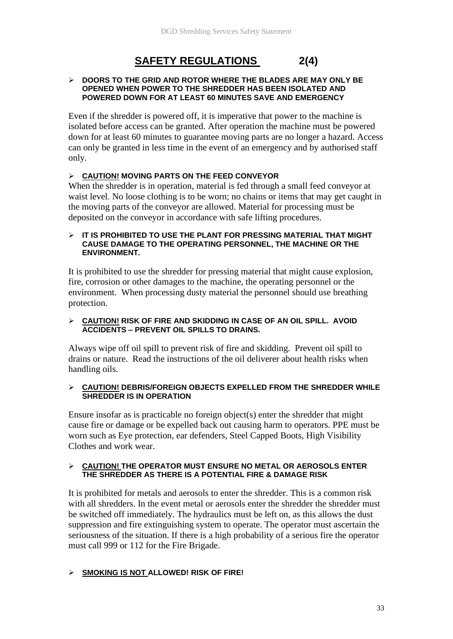# **SAFETY REGULATIONS 2(4)**

#### ➢ **DOORS TO THE GRID AND ROTOR WHERE THE BLADES ARE MAY ONLY BE OPENED WHEN POWER TO THE SHREDDER HAS BEEN ISOLATED AND POWERED DOWN FOR AT LEAST 60 MINUTES SAVE AND EMERGENCY**

Even if the shredder is powered off, it is imperative that power to the machine is isolated before access can be granted. After operation the machine must be powered down for at least 60 minutes to guarantee moving parts are no longer a hazard. Access can only be granted in less time in the event of an emergency and by authorised staff only.

## ➢ **CAUTION! MOVING PARTS ON THE FEED CONVEYOR**

When the shredder is in operation, material is fed through a small feed conveyor at waist level. No loose clothing is to be worn; no chains or items that may get caught in the moving parts of the conveyor are allowed. Material for processing must be deposited on the conveyor in accordance with safe lifting procedures.

#### ➢ **IT IS PROHIBITED TO USE THE PLANT FOR PRESSING MATERIAL THAT MIGHT CAUSE DAMAGE TO THE OPERATING PERSONNEL, THE MACHINE OR THE ENVIRONMENT.**

It is prohibited to use the shredder for pressing material that might cause explosion, fire, corrosion or other damages to the machine, the operating personnel or the environment. When processing dusty material the personnel should use breathing protection.

#### ➢ **CAUTION! RISK OF FIRE AND SKIDDING IN CASE OF AN OIL SPILL. AVOID ACCIDENTS – PREVENT OIL SPILLS TO DRAINS.**

Always wipe off oil spill to prevent risk of fire and skidding. Prevent oil spill to drains or nature. Read the instructions of the oil deliverer about health risks when handling oils.

#### ➢ **CAUTION! DEBRIS/FOREIGN OBJECTS EXPELLED FROM THE SHREDDER WHILE SHREDDER IS IN OPERATION**

Ensure insofar as is practicable no foreign object(s) enter the shredder that might cause fire or damage or be expelled back out causing harm to operators. PPE must be worn such as Eye protection, ear defenders, Steel Capped Boots, High Visibility Clothes and work wear.

#### ➢ **CAUTION! THE OPERATOR MUST ENSURE NO METAL OR AEROSOLS ENTER THE SHREDDER AS THERE IS A POTENTIAL FIRE & DAMAGE RISK**

It is prohibited for metals and aerosols to enter the shredder. This is a common risk with all shredders. In the event metal or aerosols enter the shredder the shredder must be switched off immediately. The hydraulics must be left on, as this allows the dust suppression and fire extinguishing system to operate. The operator must ascertain the seriousness of the situation. If there is a high probability of a serious fire the operator must call 999 or 112 for the Fire Brigade.

#### ➢ **SMOKING IS NOT ALLOWED! RISK OF FIRE!**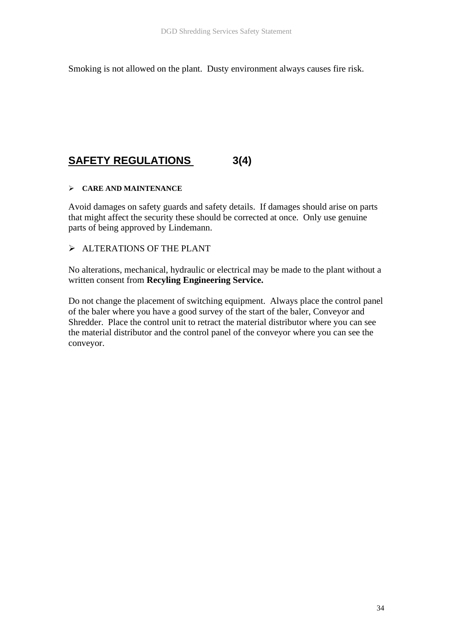Smoking is not allowed on the plant. Dusty environment always causes fire risk.

# **SAFETY REGULATIONS 3(4)**

## ➢ **CARE AND MAINTENANCE**

Avoid damages on safety guards and safety details. If damages should arise on parts that might affect the security these should be corrected at once. Only use genuine parts of being approved by Lindemann.

➢ ALTERATIONS OF THE PLANT

No alterations, mechanical, hydraulic or electrical may be made to the plant without a written consent from **Recyling Engineering Service.**

Do not change the placement of switching equipment. Always place the control panel of the baler where you have a good survey of the start of the baler, Conveyor and Shredder. Place the control unit to retract the material distributor where you can see the material distributor and the control panel of the conveyor where you can see the conveyor.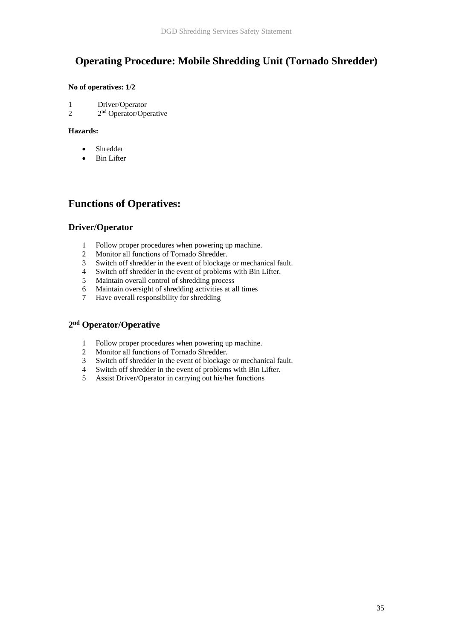# **Operating Procedure: Mobile Shredding Unit (Tornado Shredder)**

#### **No of operatives: 1/2**

- 1 Driver/Operator
- 2 2 2<sup>nd</sup> Operator/Operative

#### **Hazards:**

- **Shredder**
- **Bin Lifter**

## **Functions of Operatives:**

#### **Driver/Operator**

- 1 Follow proper procedures when powering up machine.
- 2 Monitor all functions of Tornado Shredder.
- 3 Switch off shredder in the event of blockage or mechanical fault.
- 4 Switch off shredder in the event of problems with Bin Lifter.
- 5 Maintain overall control of shredding process
- 6 Maintain oversight of shredding activities at all times
- 7 Have overall responsibility for shredding

#### **2 nd Operator/Operative**

- 1 Follow proper procedures when powering up machine.
- 2 Monitor all functions of Tornado Shredder.
- 3 Switch off shredder in the event of blockage or mechanical fault.<br>4 Switch off shredder in the event of problems with Bin Lifter.
- 4 Switch off shredder in the event of problems with Bin Lifter.<br>5 Assist Driver/Operator in carrying out his/her functions
- Assist Driver/Operator in carrying out his/her functions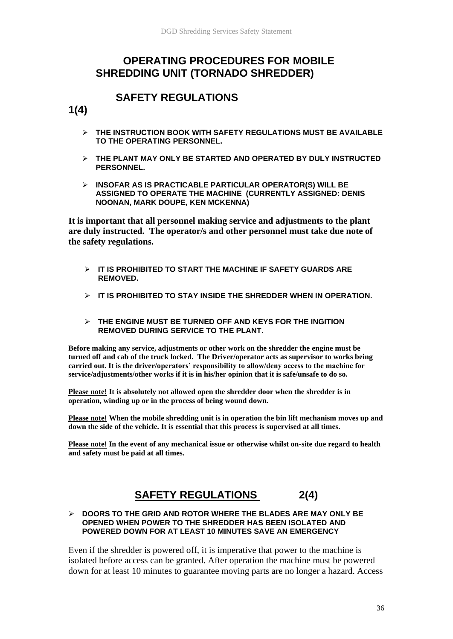## **OPERATING PROCEDURES FOR MOBILE SHREDDING UNIT (TORNADO SHREDDER)**

## **SAFETY REGULATIONS**

**1(4)**

- ➢ **THE INSTRUCTION BOOK WITH SAFETY REGULATIONS MUST BE AVAILABLE TO THE OPERATING PERSONNEL.**
- ➢ **THE PLANT MAY ONLY BE STARTED AND OPERATED BY DULY INSTRUCTED PERSONNEL.**
- ➢ **INSOFAR AS IS PRACTICABLE PARTICULAR OPERATOR(S) WILL BE ASSIGNED TO OPERATE THE MACHINE (CURRENTLY ASSIGNED: DENIS NOONAN, MARK DOUPE, KEN MCKENNA)**

**It is important that all personnel making service and adjustments to the plant are duly instructed. The operator/s and other personnel must take due note of the safety regulations.** 

- ➢ **IT IS PROHIBITED TO START THE MACHINE IF SAFETY GUARDS ARE REMOVED.**
- ➢ **IT IS PROHIBITED TO STAY INSIDE THE SHREDDER WHEN IN OPERATION.**
- ➢ **THE ENGINE MUST BE TURNED OFF AND KEYS FOR THE INGITION REMOVED DURING SERVICE TO THE PLANT.**

**Before making any service, adjustments or other work on the shredder the engine must be turned off and cab of the truck locked. The Driver/operator acts as supervisor to works being carried out. It is the driver/operators' responsibility to allow/deny access to the machine for service/adjustments/other works if it is in his/her opinion that it is safe/unsafe to do so.**

**Please note! It is absolutely not allowed open the shredder door when the shredder is in operation, winding up or in the process of being wound down.** 

**Please note! When the mobile shredding unit is in operation the bin lift mechanism moves up and down the side of the vehicle. It is essential that this process is supervised at all times.** 

**Please note! In the event of any mechanical issue or otherwise whilst on-site due regard to health and safety must be paid at all times.**

# **SAFETY REGULATIONS 2(4)**

#### ➢ **DOORS TO THE GRID AND ROTOR WHERE THE BLADES ARE MAY ONLY BE OPENED WHEN POWER TO THE SHREDDER HAS BEEN ISOLATED AND POWERED DOWN FOR AT LEAST 10 MINUTES SAVE AN EMERGENCY**

Even if the shredder is powered off, it is imperative that power to the machine is isolated before access can be granted. After operation the machine must be powered down for at least 10 minutes to guarantee moving parts are no longer a hazard. Access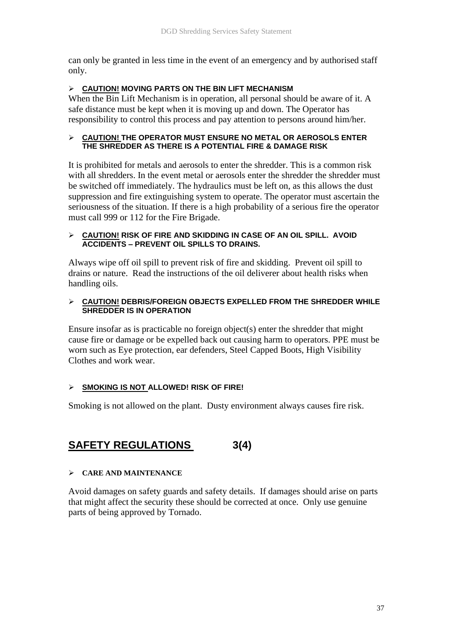can only be granted in less time in the event of an emergency and by authorised staff only.

## ➢ **CAUTION! MOVING PARTS ON THE BIN LIFT MECHANISM**

When the Bin Lift Mechanism is in operation, all personal should be aware of it. A safe distance must be kept when it is moving up and down. The Operator has responsibility to control this process and pay attention to persons around him/her.

#### ➢ **CAUTION! THE OPERATOR MUST ENSURE NO METAL OR AEROSOLS ENTER THE SHREDDER AS THERE IS A POTENTIAL FIRE & DAMAGE RISK**

It is prohibited for metals and aerosols to enter the shredder. This is a common risk with all shredders. In the event metal or aerosols enter the shredder the shredder must be switched off immediately. The hydraulics must be left on, as this allows the dust suppression and fire extinguishing system to operate. The operator must ascertain the seriousness of the situation. If there is a high probability of a serious fire the operator must call 999 or 112 for the Fire Brigade.

## ➢ **CAUTION! RISK OF FIRE AND SKIDDING IN CASE OF AN OIL SPILL. AVOID ACCIDENTS – PREVENT OIL SPILLS TO DRAINS.**

Always wipe off oil spill to prevent risk of fire and skidding. Prevent oil spill to drains or nature. Read the instructions of the oil deliverer about health risks when handling oils.

## ➢ **CAUTION! DEBRIS/FOREIGN OBJECTS EXPELLED FROM THE SHREDDER WHILE SHREDDER IS IN OPERATION**

Ensure insofar as is practicable no foreign object(s) enter the shredder that might cause fire or damage or be expelled back out causing harm to operators. PPE must be worn such as Eye protection, ear defenders, Steel Capped Boots, High Visibility Clothes and work wear.

## ➢ **SMOKING IS NOT ALLOWED! RISK OF FIRE!**

Smoking is not allowed on the plant. Dusty environment always causes fire risk.

# **SAFETY REGULATIONS 3(4)**

## ➢ **CARE AND MAINTENANCE**

Avoid damages on safety guards and safety details. If damages should arise on parts that might affect the security these should be corrected at once. Only use genuine parts of being approved by Tornado.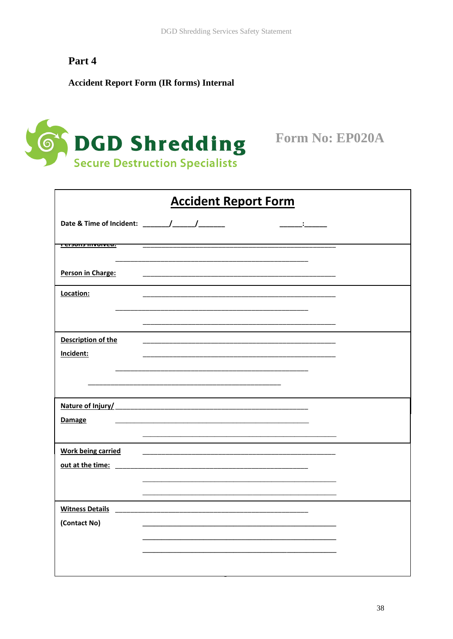# Part 4

## **Accident Report Form (IR forms) Internal**



Form No: EP020A

| <b>Accident Report Form</b> |  |  |  |  |  |
|-----------------------------|--|--|--|--|--|
|                             |  |  |  |  |  |
| <u>reisuns mivulveu.</u>    |  |  |  |  |  |
|                             |  |  |  |  |  |
| Person in Charge:           |  |  |  |  |  |
|                             |  |  |  |  |  |
| Location:                   |  |  |  |  |  |
|                             |  |  |  |  |  |
|                             |  |  |  |  |  |
|                             |  |  |  |  |  |
| Description of the          |  |  |  |  |  |
| Incident:                   |  |  |  |  |  |
|                             |  |  |  |  |  |
|                             |  |  |  |  |  |
|                             |  |  |  |  |  |
|                             |  |  |  |  |  |
|                             |  |  |  |  |  |
|                             |  |  |  |  |  |
| <b>Damage</b>               |  |  |  |  |  |
|                             |  |  |  |  |  |
|                             |  |  |  |  |  |
| <b>Work being carried</b>   |  |  |  |  |  |
|                             |  |  |  |  |  |
|                             |  |  |  |  |  |
|                             |  |  |  |  |  |
|                             |  |  |  |  |  |
| <b>Witness Details</b>      |  |  |  |  |  |
|                             |  |  |  |  |  |
| (Contact No)                |  |  |  |  |  |
|                             |  |  |  |  |  |
|                             |  |  |  |  |  |
|                             |  |  |  |  |  |
|                             |  |  |  |  |  |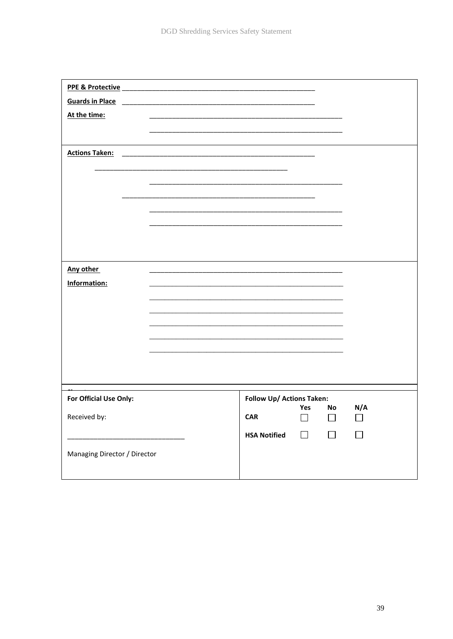| <b>Guards in Place</b>       |                                                                                                                      |                           |        |                          |                |
|------------------------------|----------------------------------------------------------------------------------------------------------------------|---------------------------|--------|--------------------------|----------------|
| At the time:                 |                                                                                                                      |                           |        |                          |                |
|                              |                                                                                                                      |                           |        |                          |                |
|                              |                                                                                                                      |                           |        |                          |                |
| <b>Actions Taken:</b>        | <u> 1989 - Johann Harry Barn, mars ar yw i ganrif y ddysgwyr y cynnwys y cynnwys y cynnwys y cynnwys y cynnwys y</u> |                           |        |                          |                |
|                              |                                                                                                                      |                           |        |                          |                |
|                              |                                                                                                                      |                           |        |                          |                |
|                              |                                                                                                                      |                           |        |                          |                |
|                              |                                                                                                                      |                           |        |                          |                |
|                              |                                                                                                                      |                           |        |                          |                |
|                              |                                                                                                                      |                           |        |                          |                |
|                              |                                                                                                                      |                           |        |                          |                |
| Any other                    |                                                                                                                      |                           |        |                          |                |
| Information:                 |                                                                                                                      |                           |        |                          |                |
|                              |                                                                                                                      |                           |        |                          |                |
|                              |                                                                                                                      |                           |        |                          |                |
|                              |                                                                                                                      |                           |        |                          |                |
|                              |                                                                                                                      |                           |        |                          |                |
|                              |                                                                                                                      |                           |        |                          |                |
|                              |                                                                                                                      |                           |        |                          |                |
|                              |                                                                                                                      |                           |        |                          |                |
|                              |                                                                                                                      |                           |        |                          |                |
| For Official Use Only:       |                                                                                                                      | Follow Up/ Actions Taken: | Yes    | No                       | N/A            |
| Received by:                 |                                                                                                                      | <b>CAR</b>                | $\Box$ | $\Box$                   | $\Box$         |
|                              |                                                                                                                      | <b>HSA Notified</b>       | $\Box$ | $\overline{\phantom{a}}$ | $\blacksquare$ |
|                              |                                                                                                                      |                           |        |                          |                |
| Managing Director / Director |                                                                                                                      |                           |        |                          |                |
|                              |                                                                                                                      |                           |        |                          |                |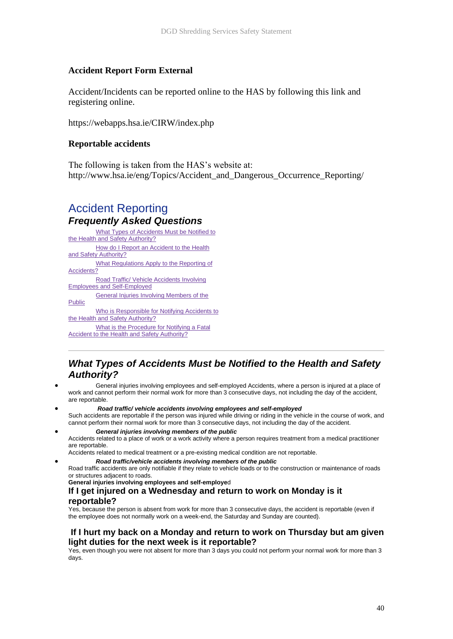#### **Accident Report Form External**

Accident/Incidents can be reported online to the HAS by following this link and registering online.

https://webapps.hsa.ie/CIRW/index.php

#### **Reportable accidents**

The following is taken from the HAS's website at: http://www.hsa.ie/eng/Topics/Accident\_and\_Dangerous\_Occurrence\_Reporting/

## Accident Reporting *Frequently Asked Questions*

What Types of Accidents Must be Notified to [the Health and Safety Authority?](http://www.hsa.ie/eng/Topics/Accident_and_Dangerous_Occurrence_Reporting/#reportableaccidents) • [How do I Report an Accident to the Health](http://www.hsa.ie/eng/Topics/Accident_and_Dangerous_Occurrence_Reporting/#Howreport)  [and Safety Authority?](http://www.hsa.ie/eng/Topics/Accident_and_Dangerous_Occurrence_Reporting/#Howreport) What Regulations Apply to the Reporting of [Accidents?](http://www.hsa.ie/eng/Topics/Accident_and_Dangerous_Occurrence_Reporting/#regs) • [Road Traffic/ Vehicle Accidents Involving](http://www.hsa.ie/eng/Topics/Accident_and_Dangerous_Occurrence_Reporting/#driver)  [Employees and Self-Employed](http://www.hsa.ie/eng/Topics/Accident_and_Dangerous_Occurrence_Reporting/#driver) **General Injuries Involving Members of the** [Public](http://www.hsa.ie/eng/Topics/Accident_and_Dangerous_Occurrence_Reporting/#public) Who is Responsible for Notifying Accidents to [the Health and Safety Authority?](http://www.hsa.ie/eng/Topics/Accident_and_Dangerous_Occurrence_Reporting/#responsible) What is the Procedure for Notifying a Fatal [Accident to the Health and Safety Authority?](http://www.hsa.ie/eng/Topics/Accident_and_Dangerous_Occurrence_Reporting/#fatal)

## *What Types of Accidents Must be Notified to the Health and Safety Authority?*

- General injuries involving employees and self-employed Accidents, where a person is injured at a place of work and cannot perform their normal work for more than 3 consecutive days, not including the day of the accident, are reportable.
- *Road traffic/ vehicle accidents involving employees and self-employed* Such accidents are reportable if the person was injured while driving or riding in the vehicle in the course of work, and cannot perform their normal work for more than 3 consecutive days, not including the day of the accident.
- *General injuries involving members of the public*

Accidents related to a place of work or a work activity where a person requires treatment from a medical practitioner are reportable.

- Accidents related to medical treatment or a pre-existing medical condition are not reportable.
	- *Road traffic/vehicle accidents involving members of the public*

Road traffic accidents are only notifiable if they relate to vehicle loads or to the construction or maintenance of roads or structures adjacent to roads.

**General injuries involving employees and self-employe**d

#### **If I get injured on a Wednesday and return to work on Monday is it reportable?**

Yes, because the person is absent from work for more than 3 consecutive days, the accident is reportable (even if the employee does not normally work on a week-end, the Saturday and Sunday are counted).

#### **If I hurt my back on a Monday and return to work on Thursday but am given light duties for the next week is it reportable?**

Yes, even though you were not absent for more than 3 days you could not perform your normal work for more than 3 days.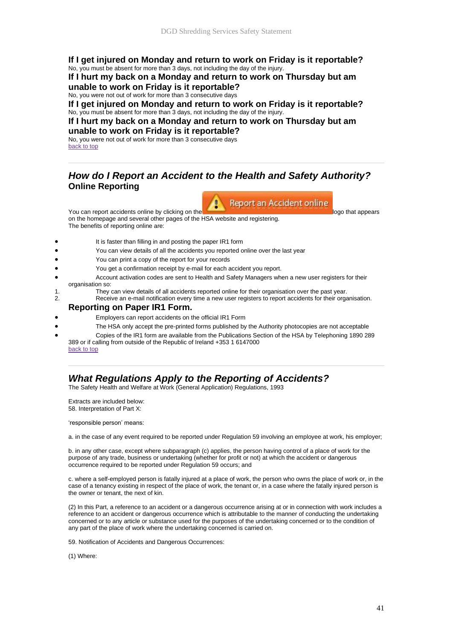#### **If I get injured on Monday and return to work on Friday is it reportable?** No, you must be absent for more than 3 days, not including the day of the injury.

**If I hurt my back on a Monday and return to work on Thursday but am unable to work on Friday is it reportable?**

No, you were not out of work for more than 3 consecutive days

**If I get injured on Monday and return to work on Friday is it reportable?** No, you must be absent for more than 3 days, not including the day of the injury.

#### **If I hurt my back on a Monday and return to work on Thursday but am unable to work on Friday is it reportable?**

No, you were not out of work for more than 3 consecutive days [back to top](http://www.hsa.ie/eng/Topics/Accident_and_Dangerous_Occurrence_Reporting/#top)

## *How do I Report an Accident to the Health and Safety Authority?* **Online Reporting**



on the homepage and several other pages of the HSA website and registering. The benefits of reporting online are:

- It is faster than filling in and posting the paper IR1 form
- You can view details of all the accidents you reported online over the last year
- You can print a copy of the report for your records
- You get a confirmation receipt by e-mail for each accident you report.
- Account activation codes are sent to Health and Safety Managers when a new user registers for their organisation so:
- 1. They can view details of all accidents reported online for their organisation over the past year.<br>2. Receive an e-mail notification every time a new user registers to report accidents for their orga
	- Receive an e-mail notification every time a new user registers to report accidents for their organisation.

#### **Reporting on Paper IR1 Form.**

- Employers can report accidents on the official IR1 Form
- The HSA only accept the pre-printed forms published by the Authority photocopies are not acceptable
- Copies of the IR1 form are available from the Publications Section of the HSA by Telephoning 1890 289 389 or if calling from outside of the Republic of Ireland +353 1 6147000

#### [back to top](http://www.hsa.ie/eng/Topics/Accident_and_Dangerous_Occurrence_Reporting/#top)

## *What Regulations Apply to the Reporting of Accidents?*

The Safety Health and Welfare at Work (General Application) Regulations, 1993

Extracts are included below: 58. Interpretation of Part X:

'responsible person' means:

a. in the case of any event required to be reported under Regulation 59 involving an employee at work, his employer;

b. in any other case, except where subparagraph (c) applies, the person having control of a place of work for the purpose of any trade, business or undertaking (whether for profit or not) at which the accident or dangerous occurrence required to be reported under Regulation 59 occurs; and

c. where a self-employed person is fatally injured at a place of work, the person who owns the place of work or, in the case of a tenancy existing in respect of the place of work, the tenant or, in a case where the fatally injured person is the owner or tenant, the next of kin.

(2) In this Part, a reference to an accident or a dangerous occurrence arising at or in connection with work includes a reference to an accident or dangerous occurrence which is attributable to the manner of conducting the undertaking concerned or to any article or substance used for the purposes of the undertaking concerned or to the condition of any part of the place of work where the undertaking concerned is carried on.

59. Notification of Accidents and Dangerous Occurrences:

(1) Where: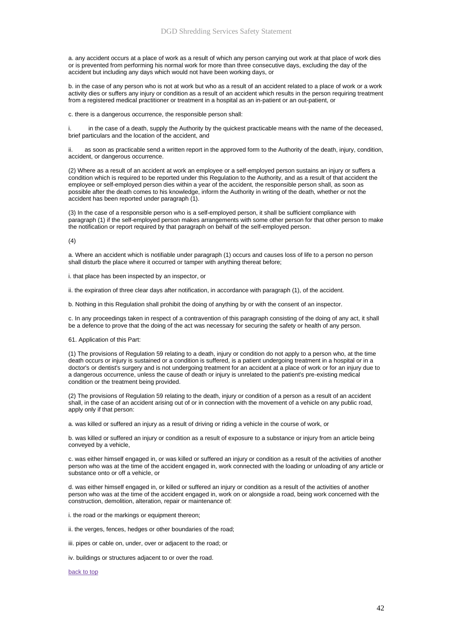a. any accident occurs at a place of work as a result of which any person carrying out work at that place of work dies or is prevented from performing his normal work for more than three consecutive days, excluding the day of the accident but including any days which would not have been working days, or

b. in the case of any person who is not at work but who as a result of an accident related to a place of work or a work activity dies or suffers any injury or condition as a result of an accident which results in the person requiring treatment from a registered medical practitioner or treatment in a hospital as an in-patient or an out-patient, or

c. there is a dangerous occurrence, the responsible person shall:

in the case of a death, supply the Authority by the quickest practicable means with the name of the deceased, brief particulars and the location of the accident, and

ii. as soon as practicable send a written report in the approved form to the Authority of the death, injury, condition, accident, or dangerous occurrence.

(2) Where as a result of an accident at work an employee or a self-employed person sustains an injury or suffers a condition which is required to be reported under this Regulation to the Authority, and as a result of that accident the employee or self-employed person dies within a year of the accident, the responsible person shall, as soon as possible after the death comes to his knowledge, inform the Authority in writing of the death, whether or not the accident has been reported under paragraph (1).

(3) In the case of a responsible person who is a self-employed person, it shall be sufficient compliance with paragraph (1) if the self-employed person makes arrangements with some other person for that other person to make the notification or report required by that paragraph on behalf of the self-employed person.

 $(4)$ 

a. Where an accident which is notifiable under paragraph (1) occurs and causes loss of life to a person no person shall disturb the place where it occurred or tamper with anything thereat before;

i. that place has been inspected by an inspector, or

ii. the expiration of three clear days after notification, in accordance with paragraph (1), of the accident.

b. Nothing in this Regulation shall prohibit the doing of anything by or with the consent of an inspector.

c. In any proceedings taken in respect of a contravention of this paragraph consisting of the doing of any act, it shall be a defence to prove that the doing of the act was necessary for securing the safety or health of any person.

61. Application of this Part:

(1) The provisions of Regulation 59 relating to a death, injury or condition do not apply to a person who, at the time death occurs or injury is sustained or a condition is suffered, is a patient undergoing treatment in a hospital or in a doctor's or dentist's surgery and is not undergoing treatment for an accident at a place of work or for an injury due to a dangerous occurrence, unless the cause of death or injury is unrelated to the patient's pre-existing medical condition or the treatment being provided.

(2) The provisions of Regulation 59 relating to the death, injury or condition of a person as a result of an accident shall, in the case of an accident arising out of or in connection with the movement of a vehicle on any public road, apply only if that person:

a. was killed or suffered an injury as a result of driving or riding a vehicle in the course of work, or

b. was killed or suffered an injury or condition as a result of exposure to a substance or injury from an article being conveyed by a vehicle,

c. was either himself engaged in, or was killed or suffered an injury or condition as a result of the activities of another person who was at the time of the accident engaged in, work connected with the loading or unloading of any article or substance onto or off a vehicle, or

d. was either himself engaged in, or killed or suffered an injury or condition as a result of the activities of another person who was at the time of the accident engaged in, work on or alongside a road, being work concerned with the construction, demolition, alteration, repair or maintenance of:

i. the road or the markings or equipment thereon;

ii. the verges, fences, hedges or other boundaries of the road;

iii. pipes or cable on, under, over or adjacent to the road; or

iv. buildings or structures adjacent to or over the road.

[back to top](http://www.hsa.ie/eng/Topics/Accident_and_Dangerous_Occurrence_Reporting/#top)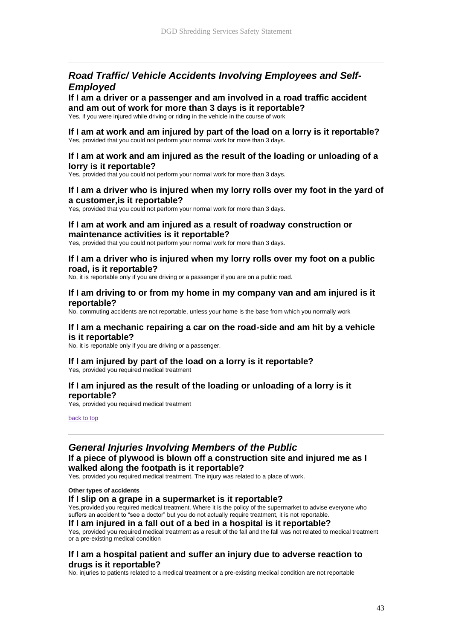## *Road Traffic/ Vehicle Accidents Involving Employees and Self-Employed*

## **If I am a driver or a passenger and am involved in a road traffic accident and am out of work for more than 3 days is it reportable?**

Yes, if you were injured while driving or riding in the vehicle in the course of work

#### **If I am at work and am injured by part of the load on a lorry is it reportable?** Yes, provided that you could not perform your normal work for more than 3 days.

#### **If I am at work and am injured as the result of the loading or unloading of a lorry is it reportable?**

Yes, provided that you could not perform your normal work for more than 3 days.

#### **If I am a driver who is injured when my lorry rolls over my foot in the yard of a customer,is it reportable?**

Yes, provided that you could not perform your normal work for more than 3 days.

#### **If I am at work and am injured as a result of roadway construction or maintenance activities is it reportable?**

Yes, provided that you could not perform your normal work for more than 3 days.

#### **If I am a driver who is injured when my lorry rolls over my foot on a public road, is it reportable?**

No, it is reportable only if you are driving or a passenger if you are on a public road.

#### **If I am driving to or from my home in my company van and am injured is it reportable?**

No, commuting accidents are not reportable, unless your home is the base from which you normally work

#### **If I am a mechanic repairing a car on the road-side and am hit by a vehicle is it reportable?**

No, it is reportable only if you are driving or a passenger.

## **If I am injured by part of the load on a lorry is it reportable?**

Yes, provided you required medical treatment

#### **If I am injured as the result of the loading or unloading of a lorry is it reportable?**

Yes, provided you required medical treatment

[back to top](http://www.hsa.ie/eng/Topics/Accident_and_Dangerous_Occurrence_Reporting/#top)

## *General Injuries Involving Members of the Public*

#### **If a piece of plywood is blown off a construction site and injured me as I walked along the footpath is it reportable?**

Yes, provided you required medical treatment. The injury was related to a place of work.

**Other types of accidents**

#### **If I slip on a grape in a supermarket is it reportable?**

Yes,provided you required medical treatment. Where it is the policy of the supermarket to advise everyone who suffers an accident to "see a doctor" but you do not actually require treatment, it is not reportable.

#### **If I am injured in a fall out of a bed in a hospital is it reportable?**

Yes, provided you required medical treatment as a result of the fall and the fall was not related to medical treatment or a pre-existing medical condition

#### **If I am a hospital patient and suffer an injury due to adverse reaction to drugs is it reportable?**

No, injuries to patients related to a medical treatment or a pre-existing medical condition are not reportable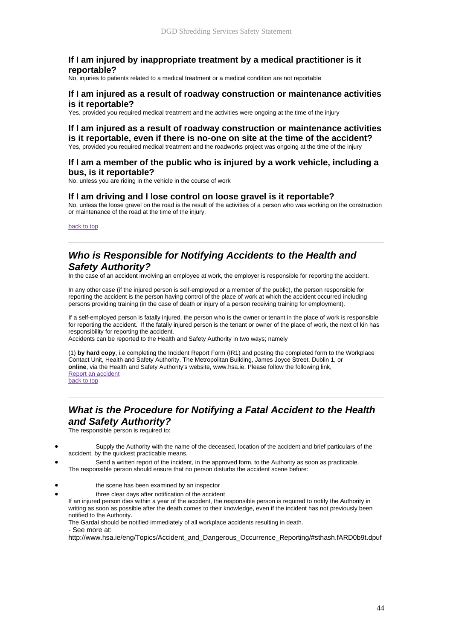#### **If I am injured by inappropriate treatment by a medical practitioner is it reportable?**

No, injuries to patients related to a medical treatment or a medical condition are not reportable

#### **If I am injured as a result of roadway construction or maintenance activities is it reportable?**

Yes, provided you required medical treatment and the activities were ongoing at the time of the injury

#### **If I am injured as a result of roadway construction or maintenance activities is it reportable, even if there is no-one on site at the time of the accident?**

Yes, provided you required medical treatment and the roadworks project was ongoing at the time of the injury

#### **If I am a member of the public who is injured by a work vehicle, including a bus, is it reportable?**

No, unless you are riding in the vehicle in the course of work

#### **If I am driving and I lose control on loose gravel is it reportable?**

No, unless the loose gravel on the road is the result of the activities of a person who was working on the construction or maintenance of the road at the time of the injury.

[back to top](http://www.hsa.ie/eng/Topics/Accident_and_Dangerous_Occurrence_Reporting/#top)

## *Who is Responsible for Notifying Accidents to the Health and Safety Authority?*

In the case of an accident involving an employee at work, the employer is responsible for reporting the accident.

In any other case (if the injured person is self-employed or a member of the public), the person responsible for reporting the accident is the person having control of the place of work at which the accident occurred including persons providing training (in the case of death or injury of a person receiving training for employment).

If a self-employed person is fatally injured, the person who is the owner or tenant in the place of work is responsible for reporting the accident. If the fatally injured person is the tenant or owner of the place of work, the next of kin has responsibility for reporting the accident.

Accidents can be reported to the Health and Safety Authority in two ways; namely

(1) **by hard copy**, i.e completing the Incident Report Form (IR1) and posting the completed form to the Workplace Contact Unit, Health and Safety Authority, The Metropolitan Building, James Joyce Street, Dublin 1, or **online**, via the Health and Safety Authority's website, www.hsa.ie. Please follow the following link, [Report an accident](https://webapps.hsa.ie/) [back to top](http://www.hsa.ie/eng/Topics/Accident_and_Dangerous_Occurrence_Reporting/#top)

## *What is the Procedure for Notifying a Fatal Accident to the Health and Safety Authority?*

The responsible person is required to:

- Supply the Authority with the name of the deceased, location of the accident and brief particulars of the accident, by the quickest practicable means.
- Send a written report of the incident, in the approved form, to the Authority as soon as practicable. The responsible person should ensure that no person disturbs the accident scene before:
- the scene has been examined by an inspector
	- three clear days after notification of the accident

If an injured person dies within a year of the accident, the responsible person is required to notify the Authority in writing as soon as possible after the death comes to their knowledge, even if the incident has not previously been notified to the Authority.

The Gardaí should be notified immediately of all workplace accidents resulting in death. - See more at:

http://www.hsa.ie/eng/Topics/Accident\_and\_Dangerous\_Occurrence\_Reporting/#sthash.fARD0b9t.dpuf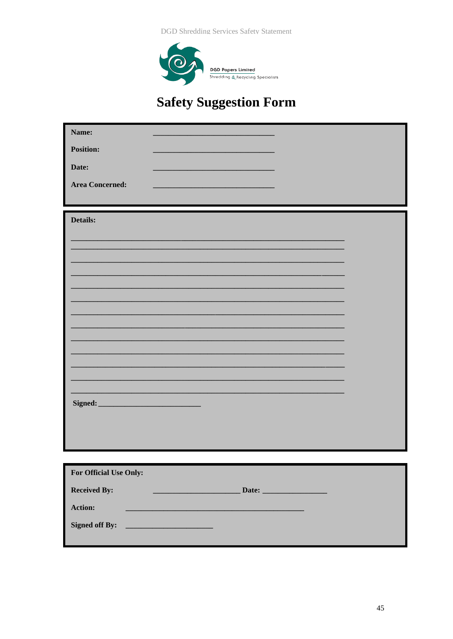**DGD Shredding Services Safety Statement** 



# **Safety Suggestion Form**

| Name:                                                                                                                                         |
|-----------------------------------------------------------------------------------------------------------------------------------------------|
| <b>Position:</b>                                                                                                                              |
|                                                                                                                                               |
| Date:                                                                                                                                         |
| <b>Area Concerned:</b>                                                                                                                        |
|                                                                                                                                               |
|                                                                                                                                               |
| Details:                                                                                                                                      |
|                                                                                                                                               |
|                                                                                                                                               |
|                                                                                                                                               |
|                                                                                                                                               |
|                                                                                                                                               |
|                                                                                                                                               |
|                                                                                                                                               |
|                                                                                                                                               |
|                                                                                                                                               |
|                                                                                                                                               |
|                                                                                                                                               |
|                                                                                                                                               |
|                                                                                                                                               |
|                                                                                                                                               |
|                                                                                                                                               |
|                                                                                                                                               |
|                                                                                                                                               |
|                                                                                                                                               |
|                                                                                                                                               |
| For Official Use Only:                                                                                                                        |
|                                                                                                                                               |
| <b>Received By:</b>                                                                                                                           |
| Action:<br><u> 1980 - Johann Stoff, deutscher Stoff, der Stoff, der Stoff, der Stoff, der Stoff, der Stoff, der Stoff, der S</u>              |
|                                                                                                                                               |
| <b>Signed off By:</b><br><u> 1990 - Jan Stein Berg, mei der Stein Berg, der Stein Berg, der Stein Berg, der Stein Berg, der Stein Berg, d</u> |
|                                                                                                                                               |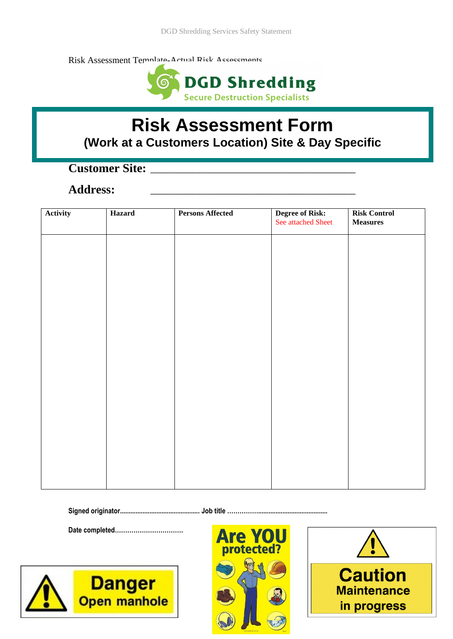Risk Assessment Template-Actual Rick Accessments



# **Risk Assessment Form (Work at a Customers Location) Site & Day Specific**

# **Customer Site: \_\_\_\_\_\_\_\_\_\_\_\_\_\_\_\_\_\_\_\_\_\_\_\_\_\_\_\_\_\_\_\_\_\_\_\_\_\_\_\_\_\_\_\_\_\_\_\_\_\_\_\_\_\_**

## **Address: \_\_\_\_\_\_\_\_\_\_\_\_\_\_\_\_\_\_\_\_\_\_\_\_\_\_\_\_\_\_\_\_\_\_\_\_\_\_\_\_\_\_\_\_\_\_\_\_\_\_\_\_\_\_**

| Activity | Hazard | <b>Persons Affected</b> | <b>Degree of Risk:</b><br>See attached Sheet | <b>Risk Control</b><br>$\bf Measures$ |
|----------|--------|-------------------------|----------------------------------------------|---------------------------------------|
|          |        |                         |                                              |                                       |
|          |        |                         |                                              |                                       |
|          |        |                         |                                              |                                       |
|          |        |                         |                                              |                                       |
|          |        |                         |                                              |                                       |
|          |        |                         |                                              |                                       |
|          |        |                         |                                              |                                       |
|          |        |                         |                                              |                                       |
|          |        |                         |                                              |                                       |
|          |        |                         |                                              |                                       |
|          |        |                         |                                              |                                       |

**Signed originator.............................................. Job title ……………........................................**

**Date completed……………………………** 





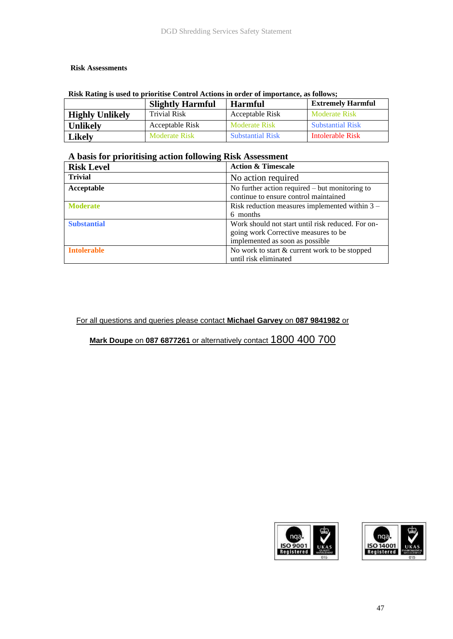#### **Risk Assessments**

|                        | <b>Slightly Harmful</b> | <b>Harmful</b>          | <b>Extremely Harmful</b> |
|------------------------|-------------------------|-------------------------|--------------------------|
| <b>Highly Unlikely</b> | <b>Trivial Risk</b>     | Acceptable Risk         | <b>Moderate Risk</b>     |
| <b>Unlikely</b>        | Acceptable Risk         | Moderate Risk           | <b>Substantial Risk</b>  |
| <b>Likely</b>          | <b>Moderate Risk</b>    | <b>Substantial Risk</b> | Intolerable Risk         |

#### **Risk Rating is used to prioritise Control Actions in order of importance, as follows;**

## **A basis for prioritising action following Risk Assessment**

| <b>Risk Level</b>  | <b>Action &amp; Timescale</b>                     |
|--------------------|---------------------------------------------------|
| <b>Trivial</b>     | No action required                                |
| Acceptable         | No further action required $-$ but monitoring to  |
|                    | continue to ensure control maintained             |
| <b>Moderate</b>    | Risk reduction measures implemented within $3 -$  |
|                    | 6 months                                          |
| <b>Substantial</b> | Work should not start until risk reduced. For on- |
|                    | going work Corrective measures to be              |
|                    | implemented as soon as possible                   |
| <b>Intolerable</b> | No work to start & current work to be stopped     |
|                    | until risk eliminated                             |

#### For all questions and queries please contact **Michael Garvey** on **087 9841982** or

**Mark Doupe** on **087 6877261** or alternatively contact 1800 400 700